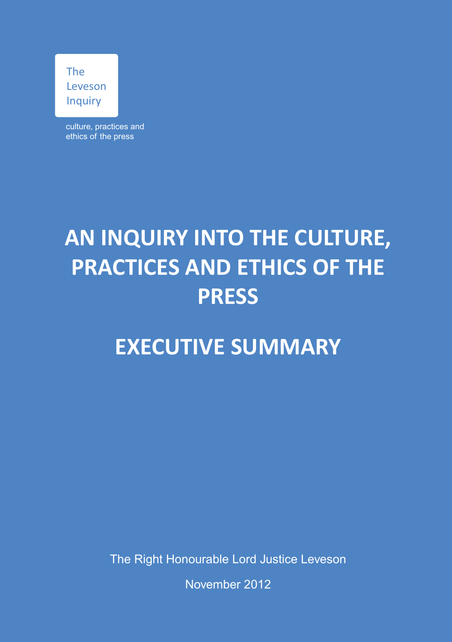### The Leveson **Inquiry**

culture, practices and ethics of the press

# **AN INQUIRY INTO THE CULTURE, PRACTICES AND ETHICS OF THE PRESS**

# **EXECUTIVE SUMMARY**

The Right Honourable Lord Justice Leveson

November 2012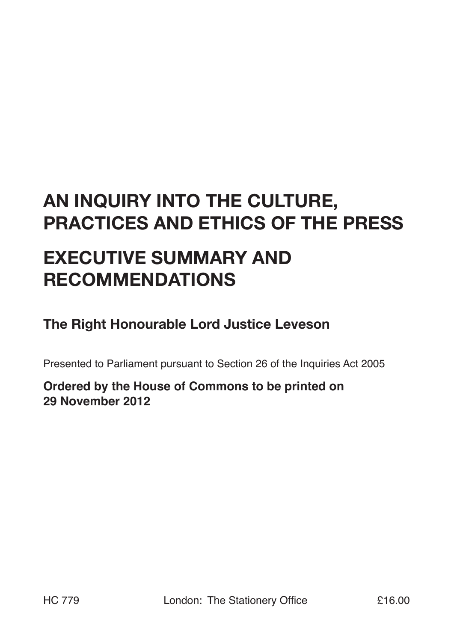# **AN INQUIRY INTO THE CULTURE, PRACTICES AND ETHICS OF THE PRESS**

# **EXECUTIVE SUMMARY AND RECOMMENDATIONS**

## **The Right Honourable Lord Justice Leveson**

Presented to Parliament pursuant to Section 26 of the Inquiries Act 2005

## **Ordered by the House of Commons to be printed on 29 November 2012**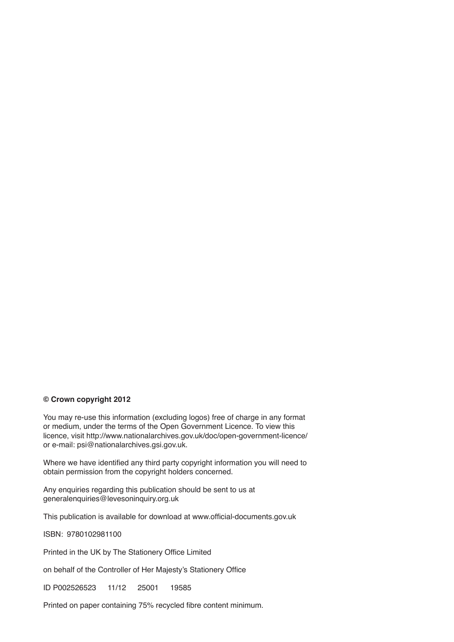#### **© Crown copyright 2012**

You may re-use this information (excluding logos) free of charge in any format or medium, under the terms of the Open Government Licence. To view this licence, visit http://www.nationalarchives.gov.uk/doc/open-government-licence/ or e-mail: psi@nationalarchives.gsi.gov.uk.

Where we have identified any third party copyright information you will need to obtain permission from the copyright holders concerned.

Any enquiries regarding this publication should be sent to us at generalenquiries@levesoninquiry.org.uk

This publication is available for download at www.official-documents.gov.uk

ISBN: 9780102981100

Printed in the UK by The Stationery Office Limited

on behalf of the Controller of Her Majesty's Stationery Office

ID P002526523 11/12 25001 19585

Printed on paper containing 75% recycled fibre content minimum.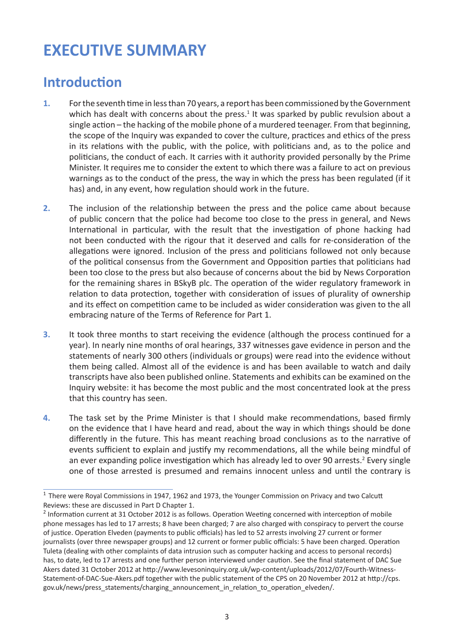## **EXECUTIVE SUMMARY**

## **Introduction**

- **1.** For the seventh time in less than 70 years, a report has been commissioned by the Government which has dealt with concerns about the press. $<sup>1</sup>$  It was sparked by public revulsion about a</sup> single action – the hacking of the mobile phone of a murdered teenager. From that beginning, the scope of the Inquiry was expanded to cover the culture, practices and ethics of the press in its relations with the public, with the police, with politicians and, as to the police and politicians, the conduct of each. It carries with it authority provided personally by the Prime Minister. It requires me to consider the extent to which there was a failure to act on previous warnings as to the conduct of the press, the way in which the press has been regulated (if it has) and, in any event, how regulation should work in the future.
- **2.** The inclusion of the relationship between the press and the police came about because of public concern that the police had become too close to the press in general, and News International in particular, with the result that the investigation of phone hacking had not been conducted with the rigour that it deserved and calls for re-consideration of the allegations were ignored. Inclusion of the press and politicians followed not only because of the political consensus from the Government and Opposition parties that politicians had been too close to the press but also because of concerns about the bid by News Corporation for the remaining shares in BSkyB plc. The operation of the wider regulatory framework in relation to data protection, together with consideration of issues of plurality of ownership and its effect on competition came to be included as wider consideration was given to the all embracing nature of the Terms of Reference for Part 1.
- **3.** It took three months to start receiving the evidence (although the process continued for a year). In nearly nine months of oral hearings, 337 witnesses gave evidence in person and the statements of nearly 300 others (individuals or groups) were read into the evidence without them being called. Almost all of the evidence is and has been available to watch and daily transcripts have also been published online. Statements and exhibits can be examined on the Inquiry website: it has become the most public and the most concentrated look at the press that this country has seen.
- **4.** The task set by the Prime Minister is that I should make recommendations, based firmly on the evidence that I have heard and read, about the way in which things should be done differently in the future. This has meant reaching broad conclusions as to the narrative of events sufficient to explain and justify my recommendations, all the while being mindful of an ever expanding police investigation which has already led to over 90 arrests.<sup>2</sup> Every single one of those arrested is presumed and remains innocent unless and until the contrary is

<sup>&</sup>lt;sup>1</sup> There were Royal Commissions in 1947, 1962 and 1973, the Younger Commission on Privacy and two Calcutt Reviews: these are discussed in Part D Chapter 1.

<sup>&</sup>lt;sup>2</sup> Information current at 31 October 2012 is as follows. Operation Weeting concerned with interception of mobile phone messages has led to 17 arrests; 8 have been charged; 7 are also charged with conspiracy to pervert the course of justice. Operation Elveden (payments to public officials) has led to 52 arrests involving 27 current or former journalists (over three newspaper groups) and 12 current or former public officials: 5 have been charged. Operation Tuleta (dealing with other complaints of data intrusion such as computer hacking and access to personal records) has, to date, led to 17 arrests and one further person interviewed under caution. See the final statement of DAC Sue Akers dated 31 October 2012 at http://www.levesoninquiry.org.uk/wp-content/uploads/2012/07/Fourth-Witness-Statement-of-DAC-Sue-Akers.pdf together with the public statement of the CPS on 20 November 2012 at http://cps. gov.uk/news/press\_statements/charging\_announcement\_in\_relation\_to\_operation\_elveden/.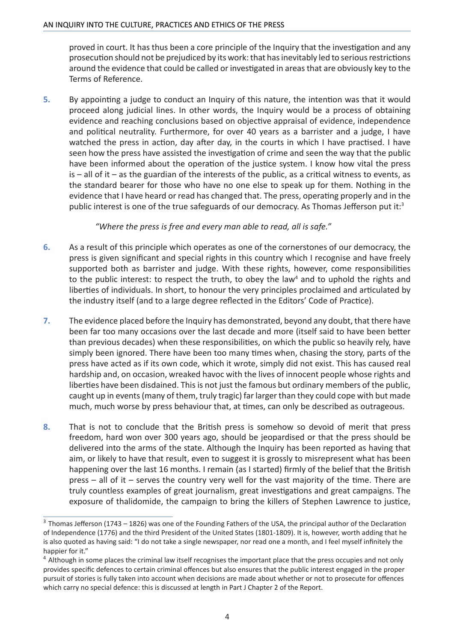proved in court. It has thus been a core principle of the Inquiry that the investigation and any prosecution should not be prejudiced by its work: that has inevitably led to serious restrictions around the evidence that could be called or investigated in areas that are obviously key to the Terms of Reference.

**5.** By appointing a judge to conduct an Inquiry of this nature, the intention was that it would proceed along judicial lines. In other words, the Inquiry would be a process of obtaining evidence and reaching conclusions based on objective appraisal of evidence, independence and political neutrality. Furthermore, for over 40 years as a barrister and a judge, I have watched the press in action, day after day, in the courts in which I have practised. I have seen how the press have assisted the investigation of crime and seen the way that the public have been informed about the operation of the justice system. I know how vital the press is – all of it – as the guardian of the interests of the public, as a critical witness to events, as the standard bearer for those who have no one else to speak up for them. Nothing in the evidence that I have heard or read has changed that. The press, operating properly and in the public interest is one of the true safeguards of our democracy. As Thomas Jefferson put it:<sup>3</sup>

*"Where the press is free and every man able to read, all is safe."*

- **6.** As a result of this principle which operates as one of the cornerstones of our democracy, the press is given significant and special rights in this country which I recognise and have freely supported both as barrister and judge. With these rights, however, come responsibilities to the public interest: to respect the truth, to obey the law<sup>4</sup> and to uphold the rights and liberties of individuals. In short, to honour the very principles proclaimed and articulated by the industry itself (and to a large degree reflected in the Editors' Code of Practice).
- **7.** The evidence placed before the Inquiry has demonstrated, beyond any doubt, that there have been far too many occasions over the last decade and more (itself said to have been better than previous decades) when these responsibilities, on which the public so heavily rely, have simply been ignored. There have been too many times when, chasing the story, parts of the press have acted as if its own code, which it wrote, simply did not exist. This has caused real hardship and, on occasion, wreaked havoc with the lives of innocent people whose rights and liberties have been disdained. This is not just the famous but ordinary members of the public, caught up in events (many of them, truly tragic) far larger than they could cope with but made much, much worse by press behaviour that, at times, can only be described as outrageous.
- **8.** That is not to conclude that the British press is somehow so devoid of merit that press freedom, hard won over 300 years ago, should be jeopardised or that the press should be delivered into the arms of the state. Although the Inquiry has been reported as having that aim, or likely to have that result, even to suggest it is grossly to misrepresent what has been happening over the last 16 months. I remain (as I started) firmly of the belief that the British press – all of it – serves the country very well for the vast majority of the time. There are truly countless examples of great journalism, great investigations and great campaigns. The exposure of thalidomide, the campaign to bring the killers of Stephen Lawrence to justice,

<sup>&</sup>lt;sup>3</sup> Thomas Jefferson (1743 – 1826) was one of the Founding Fathers of the USA, the principal author of the Declaration of Independence (1776) and the third President of the United States (1801-1809). It is, however, worth adding that he is also quoted as having said: "I do not take a single newspaper, nor read one a month, and I feel myself infinitely the happier for it."

<sup>&</sup>lt;sup>4</sup> Although in some places the criminal law itself recognises the important place that the press occupies and not only provides specific defences to certain criminal offences but also ensures that the public interest engaged in the proper pursuit of stories is fully taken into account when decisions are made about whether or not to prosecute for offences which carry no special defence: this is discussed at length in Part J Chapter 2 of the Report.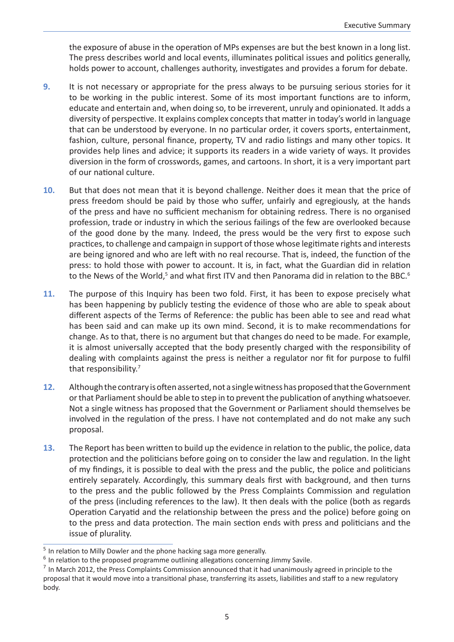the exposure of abuse in the operation of MPs expenses are but the best known in a long list. The press describes world and local events, illuminates political issues and politics generally, holds power to account, challenges authority, investigates and provides a forum for debate.

- **9.** It is not necessary or appropriate for the press always to be pursuing serious stories for it to be working in the public interest. Some of its most important functions are to inform, educate and entertain and, when doing so, to be irreverent, unruly and opinionated. It adds a diversity of perspective. It explains complex concepts that matter in today's world in language that can be understood by everyone. In no particular order, it covers sports, entertainment, fashion, culture, personal finance, property, TV and radio listings and many other topics. It provides help lines and advice; it supports its readers in a wide variety of ways. It provides diversion in the form of crosswords, games, and cartoons. In short, it is a very important part of our national culture.
- **10.** But that does not mean that it is beyond challenge. Neither does it mean that the price of press freedom should be paid by those who suffer, unfairly and egregiously, at the hands of the press and have no sufficient mechanism for obtaining redress. There is no organised profession, trade or industry in which the serious failings of the few are overlooked because of the good done by the many. Indeed, the press would be the very first to expose such practices, to challenge and campaign in support of those whose legitimate rights and interests are being ignored and who are left with no real recourse. That is, indeed, the function of the press: to hold those with power to account. It is, in fact, what the Guardian did in relation to the News of the World,<sup>5</sup> and what first ITV and then Panorama did in relation to the BBC.<sup>6</sup>
- **11.** The purpose of this Inquiry has been two fold. First, it has been to expose precisely what has been happening by publicly testing the evidence of those who are able to speak about different aspects of the Terms of Reference: the public has been able to see and read what has been said and can make up its own mind. Second, it is to make recommendations for change. As to that, there is no argument but that changes do need to be made. For example, it is almost universally accepted that the body presently charged with the responsibility of dealing with complaints against the press is neither a regulator nor fit for purpose to fulfil that responsibility.<sup>7</sup>
- **12.** Although the contrary is often asserted, not a single witness has proposed that the Government or that Parliament should be able to step in to prevent the publication of anything whatsoever. Not a single witness has proposed that the Government or Parliament should themselves be involved in the regulation of the press. I have not contemplated and do not make any such proposal.
- **13.** The Report has been written to build up the evidence in relation to the public, the police, data protection and the politicians before going on to consider the law and regulation. In the light of my findings, it is possible to deal with the press and the public, the police and politicians entirely separately. Accordingly, this summary deals first with background, and then turns to the press and the public followed by the Press Complaints Commission and regulation of the press (including references to the law). It then deals with the police (both as regards Operation Caryatid and the relationship between the press and the police) before going on to the press and data protection. The main section ends with press and politicians and the issue of plurality.

<sup>&</sup>lt;sup>5</sup> In relation to Milly Dowler and the phone hacking saga more generally.

 $6$  In relation to the proposed programme outlining allegations concerning Jimmy Savile.

 $<sup>7</sup>$  In March 2012, the Press Complaints Commission announced that it had unanimously agreed in principle to the</sup> proposal that it would move into a transitional phase, transferring its assets, liabilities and staff to a new regulatory body.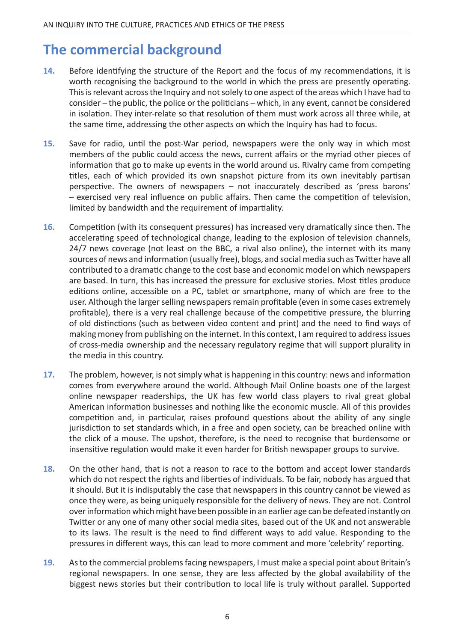## **The commercial background**

- **14.** Before identifying the structure of the Report and the focus of my recommendations, it is worth recognising the background to the world in which the press are presently operating. This is relevant across the Inquiry and not solely to one aspect of the areas which I have had to consider – the public, the police or the politicians – which, in any event, cannot be considered in isolation. They inter-relate so that resolution of them must work across all three while, at the same time, addressing the other aspects on which the Inquiry has had to focus.
- **15.** Save for radio, until the post-War period, newspapers were the only way in which most members of the public could access the news, current affairs or the myriad other pieces of information that go to make up events in the world around us. Rivalry came from competing titles, each of which provided its own snapshot picture from its own inevitably partisan perspective. The owners of newspapers – not inaccurately described as 'press barons' – exercised very real influence on public affairs. Then came the competition of television, limited by bandwidth and the requirement of impartiality.
- **16.** Competition (with its consequent pressures) has increased very dramatically since then. The accelerating speed of technological change, leading to the explosion of television channels, 24/7 news coverage (not least on the BBC, a rival also online), the internet with its many sources of news and information (usually free), blogs, and social media such as Twitter have all contributed to a dramatic change to the cost base and economic model on which newspapers are based. In turn, this has increased the pressure for exclusive stories. Most titles produce editions online, accessible on a PC, tablet or smartphone, many of which are free to the user. Although the larger selling newspapers remain profitable (even in some cases extremely profitable), there is a very real challenge because of the competitive pressure, the blurring of old distinctions (such as between video content and print) and the need to find ways of making money from publishing on the internet. In this context, I am required to address issues of cross-media ownership and the necessary regulatory regime that will support plurality in the media in this country.
- **17.** The problem, however, is not simply what is happening in this country: news and information comes from everywhere around the world. Although Mail Online boasts one of the largest online newspaper readerships, the UK has few world class players to rival great global American information businesses and nothing like the economic muscle. All of this provides competition and, in particular, raises profound questions about the ability of any single jurisdiction to set standards which, in a free and open society, can be breached online with the click of a mouse. The upshot, therefore, is the need to recognise that burdensome or insensitive regulation would make it even harder for British newspaper groups to survive.
- **18.** On the other hand, that is not a reason to race to the bottom and accept lower standards which do not respect the rights and liberties of individuals. To be fair, nobody has argued that it should. But it is indisputably the case that newspapers in this country cannot be viewed as once they were, as being uniquely responsible for the delivery of news. They are not. Control over information which might have been possible in an earlier age can be defeated instantly on Twitter or any one of many other social media sites, based out of the UK and not answerable to its laws. The result is the need to find different ways to add value. Responding to the pressures in different ways, this can lead to more comment and more 'celebrity' reporting.
- **19.** As to the commercial problems facing newspapers, I must make a special point about Britain's regional newspapers. In one sense, they are less affected by the global availability of the biggest news stories but their contribution to local life is truly without parallel. Supported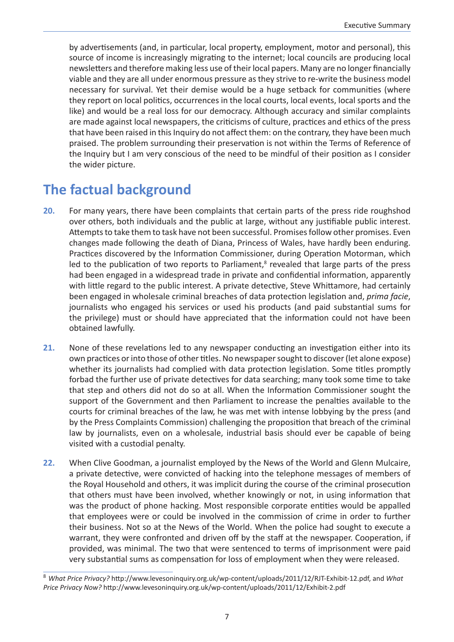by advertisements (and, in particular, local property, employment, motor and personal), this source of income is increasingly migrating to the internet; local councils are producing local newsletters and therefore making less use of their local papers. Many are no longer financially viable and they are all under enormous pressure as they strive to re-write the business model necessary for survival. Yet their demise would be a huge setback for communities (where they report on local politics, occurrences in the local courts, local events, local sports and the like) and would be a real loss for our democracy. Although accuracy and similar complaints are made against local newspapers, the criticisms of culture, practices and ethics of the press that have been raised in this Inquiry do not affect them: on the contrary, they have been much praised. The problem surrounding their preservation is not within the Terms of Reference of the Inquiry but I am very conscious of the need to be mindful of their position as I consider the wider picture.

## **The factual background**

- **20.** For many years, there have been complaints that certain parts of the press ride roughshod over others, both individuals and the public at large, without any justifiable public interest. Attempts to take them to task have not been successful. Promises follow other promises. Even changes made following the death of Diana, Princess of Wales, have hardly been enduring. Practices discovered by the Information Commissioner, during Operation Motorman, which led to the publication of two reports to Parliament, $<sup>8</sup>$  revealed that large parts of the press</sup> had been engaged in a widespread trade in private and confidential information, apparently with little regard to the public interest. A private detective, Steve Whittamore, had certainly been engaged in wholesale criminal breaches of data protection legislation and, *prima facie*, journalists who engaged his services or used his products (and paid substantial sums for the privilege) must or should have appreciated that the information could not have been obtained lawfully.
- **21.** None of these revelations led to any newspaper conducting an investigation either into its own practices or into those of other titles. No newspaper sought to discover (let alone expose) whether its journalists had complied with data protection legislation. Some titles promptly forbad the further use of private detectives for data searching; many took some time to take that step and others did not do so at all. When the Information Commissioner sought the support of the Government and then Parliament to increase the penalties available to the courts for criminal breaches of the law, he was met with intense lobbying by the press (and by the Press Complaints Commission) challenging the proposition that breach of the criminal law by journalists, even on a wholesale, industrial basis should ever be capable of being visited with a custodial penalty.
- **22.** When Clive Goodman, a journalist employed by the News of the World and Glenn Mulcaire, a private detective, were convicted of hacking into the telephone messages of members of the Royal Household and others, it was implicit during the course of the criminal prosecution that others must have been involved, whether knowingly or not, in using information that was the product of phone hacking. Most responsible corporate entities would be appalled that employees were or could be involved in the commission of crime in order to further their business. Not so at the News of the World. When the police had sought to execute a warrant, they were confronted and driven off by the staff at the newspaper. Cooperation, if provided, was minimal. The two that were sentenced to terms of imprisonment were paid very substantial sums as compensation for loss of employment when they were released.

<sup>8</sup>*What Price Privacy?* http://www.levesoninquiry.org.uk/wp-content/uploads/2011/12/RJT-Exhibit-12.pdf, and *What Price Privacy Now?* http://www.levesoninquiry.org.uk/wp-content/uploads/2011/12/Exhibit-2.pdf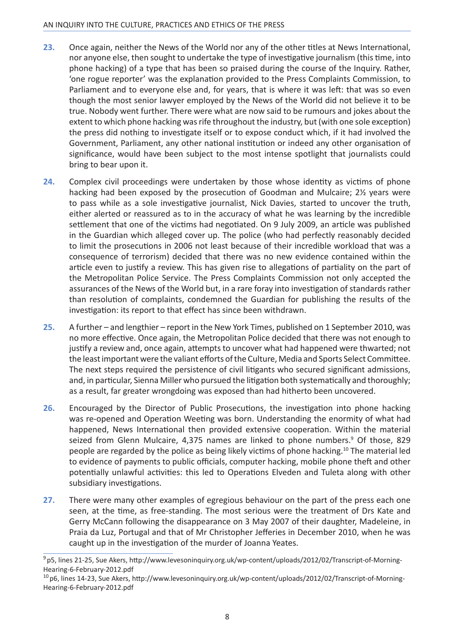- **23.** Once again, neither the News of the World nor any of the other titles at News International, nor anyone else, then sought to undertake the type of investigative journalism (this time, into phone hacking) of a type that has been so praised during the course of the Inquiry. Rather, 'one rogue reporter' was the explanation provided to the Press Complaints Commission, to Parliament and to everyone else and, for years, that is where it was left: that was so even though the most senior lawyer employed by the News of the World did not believe it to be true. Nobody went further. There were what are now said to be rumours and jokes about the extent to which phone hacking was rife throughout the industry, but (with one sole exception) the press did nothing to investigate itself or to expose conduct which, if it had involved the Government, Parliament, any other national institution or indeed any other organisation of significance, would have been subject to the most intense spotlight that journalists could bring to bear upon it.
- **24.** Complex civil proceedings were undertaken by those whose identity as victims of phone hacking had been exposed by the prosecution of Goodman and Mulcaire; 2½ years were to pass while as a sole investigative journalist, Nick Davies, started to uncover the truth, either alerted or reassured as to in the accuracy of what he was learning by the incredible settlement that one of the victims had negotiated. On 9 July 2009, an article was published in the Guardian which alleged cover up. The police (who had perfectly reasonably decided to limit the prosecutions in 2006 not least because of their incredible workload that was a consequence of terrorism) decided that there was no new evidence contained within the article even to justify a review. This has given rise to allegations of partiality on the part of the Metropolitan Police Service. The Press Complaints Commission not only accepted the assurances of the News of the World but, in a rare foray into investigation of standards rather than resolution of complaints, condemned the Guardian for publishing the results of the investigation: its report to that effect has since been withdrawn.
- **25.** A further and lengthier report in the New York Times, published on 1 September 2010, was no more effective. Once again, the Metropolitan Police decided that there was not enough to justify a review and, once again, attempts to uncover what had happened were thwarted; not the least important were the valiant efforts of the Culture, Media and Sports Select Committee. The next steps required the persistence of civil litigants who secured significant admissions, and, in particular, Sienna Miller who pursued the litigation both systematically and thoroughly; as a result, far greater wrongdoing was exposed than had hitherto been uncovered.
- **26.** Encouraged by the Director of Public Prosecutions, the investigation into phone hacking was re-opened and Operation Weeting was born. Understanding the enormity of what had happened, News International then provided extensive cooperation. Within the material seized from Glenn Mulcaire, 4,375 names are linked to phone numbers.<sup>9</sup> Of those, 829 people are regarded by the police as being likely victims of phone hacking.<sup>10</sup> The material led to evidence of payments to public officials, computer hacking, mobile phone theft and other potentially unlawful activities: this led to Operations Elveden and Tuleta along with other subsidiary investigations.
- **27.** There were many other examples of egregious behaviour on the part of the press each one seen, at the time, as free-standing. The most serious were the treatment of Drs Kate and Gerry McCann following the disappearance on 3 May 2007 of their daughter, Madeleine, in Praia da Luz, Portugal and that of Mr Christopher Jefferies in December 2010, when he was caught up in the investigation of the murder of Joanna Yeates.

10 p6, lines 14-23, Sue Akers, http://www.levesoninquiry.org.uk/wp-content/uploads/2012/02/Transcript-of-Morning-Hearing-6-February-2012.pdf

<sup>&</sup>lt;sup>9</sup> p5, lines 21-25, Sue Akers, http://www.levesoninquiry.org.uk/wp-content/uploads/2012/02/Transcript-of-Morning-Hearing-6-February-2012.pdf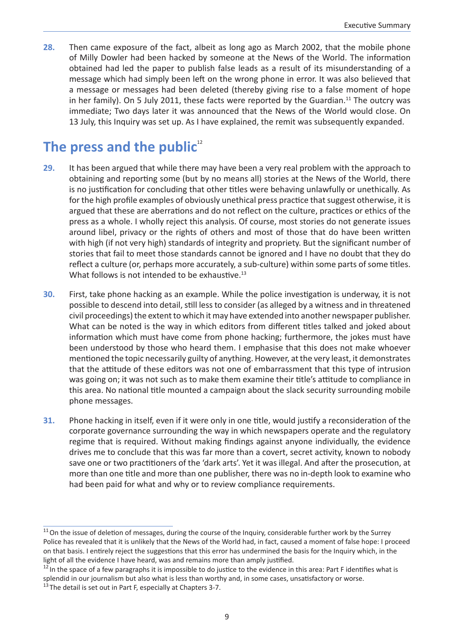**28.** Then came exposure of the fact, albeit as long ago as March 2002, that the mobile phone of Milly Dowler had been hacked by someone at the News of the World. The information obtained had led the paper to publish false leads as a result of its misunderstanding of a message which had simply been left on the wrong phone in error. It was also believed that a message or messages had been deleted (thereby giving rise to a false moment of hope in her family). On 5 July 2011, these facts were reported by the Guardian.<sup>11</sup> The outcry was immediate; Two days later it was announced that the News of the World would close. On 13 July, this Inquiry was set up. As I have explained, the remit was subsequently expanded.

## The press and the public<sup>12</sup>

- **29.** It has been argued that while there may have been a very real problem with the approach to obtaining and reporting some (but by no means all) stories at the News of the World, there is no justification for concluding that other titles were behaving unlawfully or unethically. As for the high profile examples of obviously unethical press practice that suggest otherwise, it is argued that these are aberrations and do not reflect on the culture, practices or ethics of the press as a whole. I wholly reject this analysis. Of course, most stories do not generate issues around libel, privacy or the rights of others and most of those that do have been written with high (if not very high) standards of integrity and propriety. But the significant number of stories that fail to meet those standards cannot be ignored and I have no doubt that they do reflect a culture (or, perhaps more accurately, a sub-culture) within some parts of some titles. What follows is not intended to be exhaustive.<sup>13</sup>
- **30.** First, take phone hacking as an example. While the police investigation is underway, it is not possible to descend into detail, still less to consider (as alleged by a witness and in threatened civil proceedings) the extent to which it may have extended into another newspaper publisher. What can be noted is the way in which editors from different titles talked and joked about information which must have come from phone hacking; furthermore, the jokes must have been understood by those who heard them. I emphasise that this does not make whoever mentioned the topic necessarily guilty of anything. However, at the very least, it demonstrates that the attitude of these editors was not one of embarrassment that this type of intrusion was going on; it was not such as to make them examine their title's attitude to compliance in this area. No national title mounted a campaign about the slack security surrounding mobile phone messages.
- **31.** Phone hacking in itself, even if it were only in one title, would justify a reconsideration of the corporate governance surrounding the way in which newspapers operate and the regulatory regime that is required. Without making findings against anyone individually, the evidence drives me to conclude that this was far more than a covert, secret activity, known to nobody save one or two practitioners of the 'dark arts'. Yet it was illegal. And after the prosecution, at more than one title and more than one publisher, there was no in-depth look to examine who had been paid for what and why or to review compliance requirements.

 $11$  On the issue of deletion of messages, during the course of the Inquiry, considerable further work by the Surrey Police has revealed that it is unlikely that the News of the World had, in fact, caused a moment of false hope: I proceed on that basis. I entirely reject the suggestions that this error has undermined the basis for the Inquiry which, in the light of all the evidence I have heard, was and remains more than amply justified.

 $12$  In the space of a few paragraphs it is impossible to do justice to the evidence in this area: Part F identifies what is splendid in our journalism but also what is less than worthy and, in some cases, unsatisfactory or worse.  $13$  The detail is set out in Part F, especially at Chapters 3-7.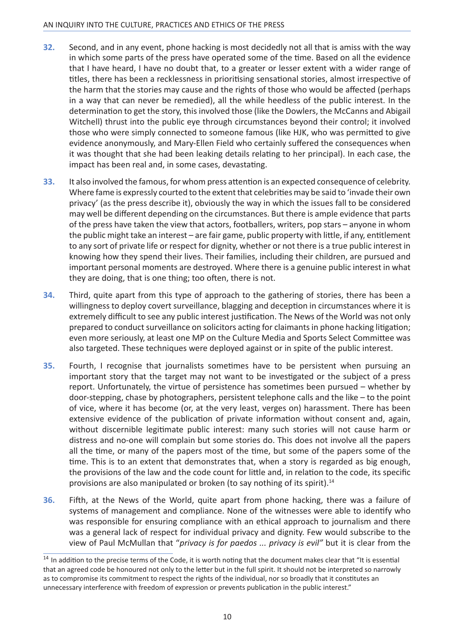- **32.** Second, and in any event, phone hacking is most decidedly not all that is amiss with the way in which some parts of the press have operated some of the time. Based on all the evidence that I have heard, I have no doubt that, to a greater or lesser extent with a wider range of titles, there has been a recklessness in prioritising sensational stories, almost irrespective of the harm that the stories may cause and the rights of those who would be affected (perhaps in a way that can never be remedied), all the while heedless of the public interest. In the determination to get the story, this involved those (like the Dowlers, the McCanns and Abigail Witchell) thrust into the public eye through circumstances beyond their control; it involved those who were simply connected to someone famous (like HJK, who was permitted to give evidence anonymously, and Mary-Ellen Field who certainly suffered the consequences when it was thought that she had been leaking details relating to her principal). In each case, the impact has been real and, in some cases, devastating.
- **33.** It also involved the famous, for whom press attention is an expected consequence of celebrity. Where fame is expressly courted to the extent that celebrities may be said to 'invade their own privacy' (as the press describe it), obviously the way in which the issues fall to be considered may well be different depending on the circumstances. But there is ample evidence that parts of the press have taken the view that actors, footballers, writers, pop stars – anyone in whom the public might take an interest – are fair game, public property with little, if any, entitlement to any sort of private life or respect for dignity, whether or not there is a true public interest in knowing how they spend their lives. Their families, including their children, are pursued and important personal moments are destroyed. Where there is a genuine public interest in what they are doing, that is one thing; too often, there is not.
- **34.** Third, quite apart from this type of approach to the gathering of stories, there has been a willingness to deploy covert surveillance, blagging and deception in circumstances where it is extremely difficult to see any public interest justification. The News of the World was not only prepared to conduct surveillance on solicitors acting for claimants in phone hacking litigation; even more seriously, at least one MP on the Culture Media and Sports Select Committee was also targeted. These techniques were deployed against or in spite of the public interest.
- **35.** Fourth, I recognise that journalists sometimes have to be persistent when pursuing an important story that the target may not want to be investigated or the subject of a press report. Unfortunately, the virtue of persistence has sometimes been pursued – whether by door-stepping, chase by photographers, persistent telephone calls and the like – to the point of vice, where it has become (or, at the very least, verges on) harassment. There has been extensive evidence of the publication of private information without consent and, again, without discernible legitimate public interest: many such stories will not cause harm or distress and no-one will complain but some stories do. This does not involve all the papers all the time, or many of the papers most of the time, but some of the papers some of the time. This is to an extent that demonstrates that, when a story is regarded as big enough, the provisions of the law and the code count for little and, in relation to the code, its specific provisions are also manipulated or broken (to say nothing of its spirit).<sup>14</sup>
- **36.** Fifth, at the News of the World, quite apart from phone hacking, there was a failure of systems of management and compliance. None of the witnesses were able to identify who was responsible for ensuring compliance with an ethical approach to journalism and there was a general lack of respect for individual privacy and dignity. Few would subscribe to the view of Paul McMullan that "*privacy is for paedos ... privacy is evil"* but it is clear from the

<sup>&</sup>lt;sup>14</sup> In addition to the precise terms of the Code, it is worth noting that the document makes clear that "It is essential that an agreed code be honoured not only to the letter but in the full spirit. It should not be interpreted so narrowly as to compromise its commitment to respect the rights of the individual, nor so broadly that it constitutes an unnecessary interference with freedom of expression or prevents publication in the public interest."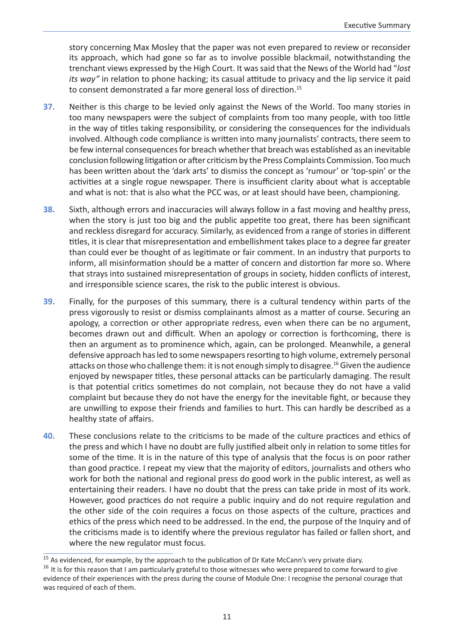story concerning Max Mosley that the paper was not even prepared to review or reconsider its approach, which had gone so far as to involve possible blackmail, notwithstanding the trenchant views expressed by the High Court. It was said that the News of the World had "*lost its way"* in relation to phone hacking; its casual attitude to privacy and the lip service it paid to consent demonstrated a far more general loss of direction.<sup>15</sup>

- **37.** Neither is this charge to be levied only against the News of the World. Too many stories in too many newspapers were the subject of complaints from too many people, with too little in the way of titles taking responsibility, or considering the consequences for the individuals involved. Although code compliance is written into many journalists' contracts, there seem to be few internal consequences for breach whether that breach was established as an inevitable conclusion following litigation or after criticism by the Press Complaints Commission. Too much has been written about the 'dark arts' to dismiss the concept as 'rumour' or 'top-spin' or the activities at a single rogue newspaper. There is insufficient clarity about what is acceptable and what is not: that is also what the PCC was, or at least should have been, championing.
- **38.** Sixth, although errors and inaccuracies will always follow in a fast moving and healthy press, when the story is just too big and the public appetite too great, there has been significant and reckless disregard for accuracy. Similarly, as evidenced from a range of stories in different titles, it is clear that misrepresentation and embellishment takes place to a degree far greater than could ever be thought of as legitimate or fair comment. In an industry that purports to inform, all misinformation should be a matter of concern and distortion far more so. Where that strays into sustained misrepresentation of groups in society, hidden conflicts of interest, and irresponsible science scares, the risk to the public interest is obvious.
- **39.** Finally, for the purposes of this summary, there is a cultural tendency within parts of the press vigorously to resist or dismiss complainants almost as a matter of course. Securing an apology, a correction or other appropriate redress, even when there can be no argument, becomes drawn out and difficult. When an apology or correction is forthcoming, there is then an argument as to prominence which, again, can be prolonged. Meanwhile, a general defensive approach has led to some newspapers resorting to high volume, extremely personal attacks on those who challenge them: it is not enough simply to disagree.<sup>16</sup> Given the audience enjoyed by newspaper titles, these personal attacks can be particularly damaging. The result is that potential critics sometimes do not complain, not because they do not have a valid complaint but because they do not have the energy for the inevitable fight, or because they are unwilling to expose their friends and families to hurt. This can hardly be described as a healthy state of affairs.
- **40.** These conclusions relate to the criticisms to be made of the culture practices and ethics of the press and which I have no doubt are fully justified albeit only in relation to some titles for some of the time. It is in the nature of this type of analysis that the focus is on poor rather than good practice. I repeat my view that the majority of editors, journalists and others who work for both the national and regional press do good work in the public interest, as well as entertaining their readers. I have no doubt that the press can take pride in most of its work. However, good practices do not require a public inquiry and do not require regulation and the other side of the coin requires a focus on those aspects of the culture, practices and ethics of the press which need to be addressed. In the end, the purpose of the Inquiry and of the criticisms made is to identify where the previous regulator has failed or fallen short, and where the new regulator must focus.

<sup>&</sup>lt;sup>15</sup> As evidenced, for example, by the approach to the publication of Dr Kate McCann's very private diary.

<sup>&</sup>lt;sup>16</sup> It is for this reason that I am particularly grateful to those witnesses who were prepared to come forward to give evidence of their experiences with the press during the course of Module One: I recognise the personal courage that was required of each of them.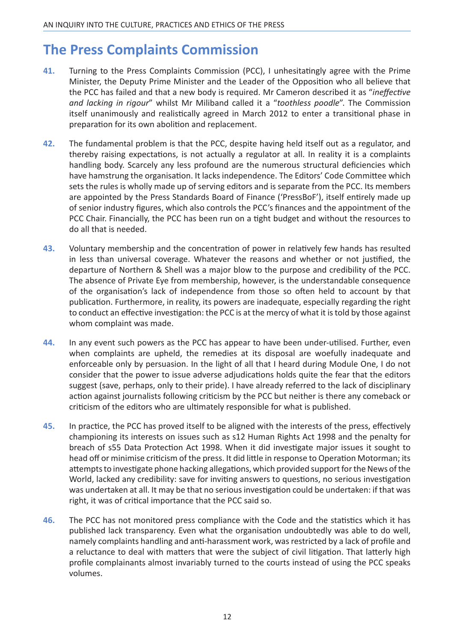## **The Press Complaints Commission**

- **41.** Turning to the Press Complaints Commission (PCC), I unhesitatingly agree with the Prime Minister, the Deputy Prime Minister and the Leader of the Opposition who all believe that the PCC has failed and that a new body is required. Mr Cameron described it as "*ineffective and lacking in rigour*" whilst Mr Miliband called it a "*toothless poodle*". The Commission itself unanimously and realistically agreed in March 2012 to enter a transitional phase in preparation for its own abolition and replacement.
- **42.** The fundamental problem is that the PCC, despite having held itself out as a regulator, and thereby raising expectations, is not actually a regulator at all. In reality it is a complaints handling body. Scarcely any less profound are the numerous structural deficiencies which have hamstrung the organisation. It lacks independence. The Editors' Code Committee which sets the rules is wholly made up of serving editors and is separate from the PCC. Its members are appointed by the Press Standards Board of Finance ('PressBoF'), itself entirely made up of senior industry figures, which also controls the PCC's finances and the appointment of the PCC Chair. Financially, the PCC has been run on a tight budget and without the resources to do all that is needed.
- **43.** Voluntary membership and the concentration of power in relatively few hands has resulted in less than universal coverage. Whatever the reasons and whether or not justified, the departure of Northern & Shell was a major blow to the purpose and credibility of the PCC. The absence of Private Eye from membership, however, is the understandable consequence of the organisation's lack of independence from those so often held to account by that publication. Furthermore, in reality, its powers are inadequate, especially regarding the right to conduct an effective investigation: the PCC is at the mercy of what it is told by those against whom complaint was made.
- **44.** In any event such powers as the PCC has appear to have been under-utilised. Further, even when complaints are upheld, the remedies at its disposal are woefully inadequate and enforceable only by persuasion. In the light of all that I heard during Module One, I do not consider that the power to issue adverse adjudications holds quite the fear that the editors suggest (save, perhaps, only to their pride). I have already referred to the lack of disciplinary action against journalists following criticism by the PCC but neither is there any comeback or criticism of the editors who are ultimately responsible for what is published.
- **45.** In practice, the PCC has proved itself to be aligned with the interests of the press, effectively championing its interests on issues such as s12 Human Rights Act 1998 and the penalty for breach of s55 Data Protection Act 1998. When it did investigate major issues it sought to head off or minimise criticism of the press. It did little in response to Operation Motorman; its attempts to investigate phone hacking allegations, which provided support for the News of the World, lacked any credibility: save for inviting answers to questions, no serious investigation was undertaken at all. It may be that no serious investigation could be undertaken: if that was right, it was of critical importance that the PCC said so.
- **46.** The PCC has not monitored press compliance with the Code and the statistics which it has published lack transparency. Even what the organisation undoubtedly was able to do well, namely complaints handling and anti-harassment work, was restricted by a lack of profile and a reluctance to deal with matters that were the subject of civil litigation. That latterly high profile complainants almost invariably turned to the courts instead of using the PCC speaks volumes.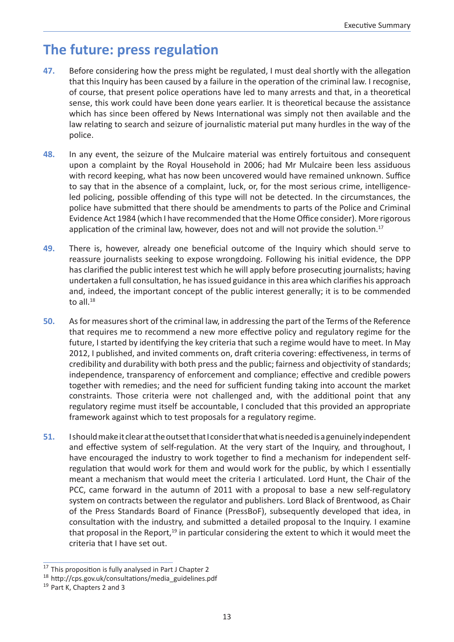## **The future: press regulation**

- **47.** Before considering how the press might be regulated, I must deal shortly with the allegation that this Inquiry has been caused by a failure in the operation of the criminal law. I recognise, of course, that present police operations have led to many arrests and that, in a theoretical sense, this work could have been done years earlier. It is theoretical because the assistance which has since been offered by News International was simply not then available and the law relating to search and seizure of journalistic material put many hurdles in the way of the police.
- **48.** In any event, the seizure of the Mulcaire material was entirely fortuitous and consequent upon a complaint by the Royal Household in 2006; had Mr Mulcaire been less assiduous with record keeping, what has now been uncovered would have remained unknown. Suffice to say that in the absence of a complaint, luck, or, for the most serious crime, intelligenceled policing, possible offending of this type will not be detected. In the circumstances, the police have submitted that there should be amendments to parts of the Police and Criminal Evidence Act 1984 (which I have recommended that the Home Office consider). More rigorous application of the criminal law, however, does not and will not provide the solution.<sup>17</sup>
- **49.** There is, however, already one beneficial outcome of the Inquiry which should serve to reassure journalists seeking to expose wrongdoing. Following his initial evidence, the DPP has clarified the public interest test which he will apply before prosecuting journalists; having undertaken a full consultation, he has issued guidance in this area which clarifies his approach and, indeed, the important concept of the public interest generally; it is to be commended to all. $18$
- **50.** As for measures short of the criminal law, in addressing the part of the Terms of the Reference that requires me to recommend a new more effective policy and regulatory regime for the future, I started by identifying the key criteria that such a regime would have to meet. In May 2012, I published, and invited comments on, draft criteria covering: effectiveness, in terms of credibility and durability with both press and the public; fairness and objectivity of standards; independence, transparency of enforcement and compliance; effective and credible powers together with remedies; and the need for sufficient funding taking into account the market constraints. Those criteria were not challenged and, with the additional point that any regulatory regime must itself be accountable, I concluded that this provided an appropriate framework against which to test proposals for a regulatory regime.
- **51.** I should make it clear at the outset that I consider that what is needed is a genuinely independent and effective system of self-regulation. At the very start of the Inquiry, and throughout, I have encouraged the industry to work together to find a mechanism for independent selfregulation that would work for them and would work for the public, by which I essentially meant a mechanism that would meet the criteria I articulated. Lord Hunt, the Chair of the PCC, came forward in the autumn of 2011 with a proposal to base a new self-regulatory system on contracts between the regulator and publishers. Lord Black of Brentwood, as Chair of the Press Standards Board of Finance (PressBoF), subsequently developed that idea, in consultation with the industry, and submitted a detailed proposal to the Inquiry. I examine that proposal in the Report, $19$  in particular considering the extent to which it would meet the criteria that I have set out.

<sup>&</sup>lt;sup>17</sup> This proposition is fully analysed in Part J Chapter 2

<sup>18</sup> http://cps.gov.uk/consultations/media\_guidelines.pdf

<sup>19</sup> Part K, Chapters 2 and 3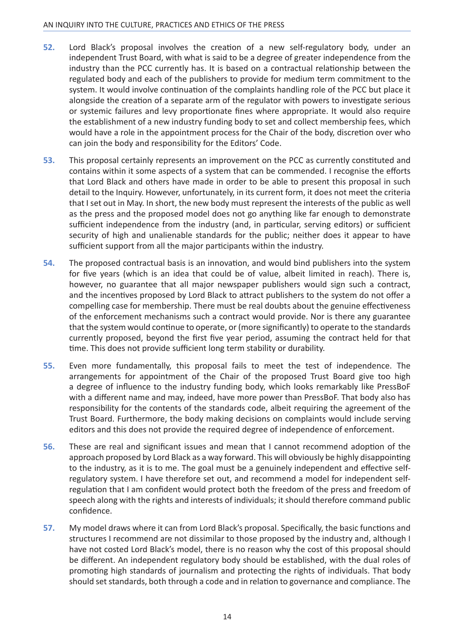- **52.** Lord Black's proposal involves the creation of a new self-regulatory body, under an independent Trust Board, with what is said to be a degree of greater independence from the industry than the PCC currently has. It is based on a contractual relationship between the regulated body and each of the publishers to provide for medium term commitment to the system. It would involve continuation of the complaints handling role of the PCC but place it alongside the creation of a separate arm of the regulator with powers to investigate serious or systemic failures and levy proportionate fines where appropriate. It would also require the establishment of a new industry funding body to set and collect membership fees, which would have a role in the appointment process for the Chair of the body, discretion over who can join the body and responsibility for the Editors' Code.
- **53.** This proposal certainly represents an improvement on the PCC as currently constituted and contains within it some aspects of a system that can be commended. I recognise the efforts that Lord Black and others have made in order to be able to present this proposal in such detail to the Inquiry. However, unfortunately, in its current form, it does not meet the criteria that I set out in May. In short, the new body must represent the interests of the public as well as the press and the proposed model does not go anything like far enough to demonstrate sufficient independence from the industry (and, in particular, serving editors) or sufficient security of high and unalienable standards for the public; neither does it appear to have sufficient support from all the major participants within the industry.
- **54.** The proposed contractual basis is an innovation, and would bind publishers into the system for five years (which is an idea that could be of value, albeit limited in reach). There is, however, no guarantee that all major newspaper publishers would sign such a contract, and the incentives proposed by Lord Black to attract publishers to the system do not offer a compelling case for membership. There must be real doubts about the genuine effectiveness of the enforcement mechanisms such a contract would provide. Nor is there any guarantee that the system would continue to operate, or (more significantly) to operate to the standards currently proposed, beyond the first five year period, assuming the contract held for that time. This does not provide sufficient long term stability or durability.
- **55.** Even more fundamentally, this proposal fails to meet the test of independence. The arrangements for appointment of the Chair of the proposed Trust Board give too high a degree of influence to the industry funding body, which looks remarkably like PressBoF with a different name and may, indeed, have more power than PressBoF. That body also has responsibility for the contents of the standards code, albeit requiring the agreement of the Trust Board. Furthermore, the body making decisions on complaints would include serving editors and this does not provide the required degree of independence of enforcement.
- **56.** These are real and significant issues and mean that I cannot recommend adoption of the approach proposed by Lord Black as a way forward. This will obviously be highly disappointing to the industry, as it is to me. The goal must be a genuinely independent and effective selfregulatory system. I have therefore set out, and recommend a model for independent selfregulation that I am confident would protect both the freedom of the press and freedom of speech along with the rights and interests of individuals; it should therefore command public confidence.
- **57.** My model draws where it can from Lord Black's proposal. Specifically, the basic functions and structures I recommend are not dissimilar to those proposed by the industry and, although I have not costed Lord Black's model, there is no reason why the cost of this proposal should be different. An independent regulatory body should be established, with the dual roles of promoting high standards of journalism and protecting the rights of individuals. That body should set standards, both through a code and in relation to governance and compliance. The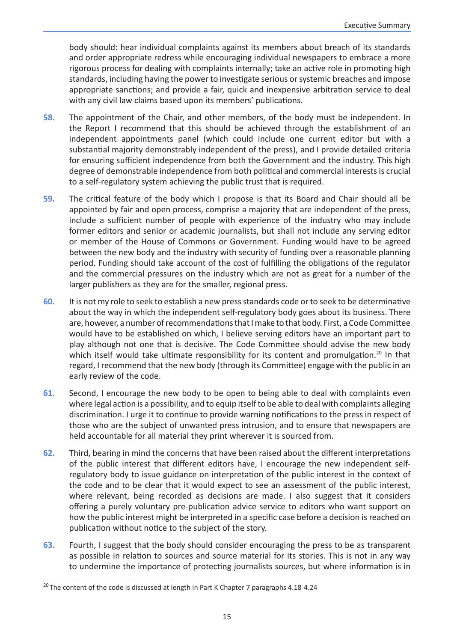body should: hear individual complaints against its members about breach of its standards and order appropriate redress while encouraging individual newspapers to embrace a more rigorous process for dealing with complaints internally; take an active role in promoting high standards, including having the power to investigate serious or systemic breaches and impose appropriate sanctions; and provide a fair, quick and inexpensive arbitration service to deal with any civil law claims based upon its members' publications.

- **58.** The appointment of the Chair, and other members, of the body must be independent. In the Report I recommend that this should be achieved through the establishment of an independent appointments panel (which could include one current editor but with a substantial majority demonstrably independent of the press), and I provide detailed criteria for ensuring sufficient independence from both the Government and the industry. This high degree of demonstrable independence from both political and commercial interests is crucial to a self-regulatory system achieving the public trust that is required.
- **59.** The critical feature of the body which I propose is that its Board and Chair should all be appointed by fair and open process, comprise a majority that are independent of the press, include a sufficient number of people with experience of the industry who may include former editors and senior or academic journalists, but shall not include any serving editor or member of the House of Commons or Government. Funding would have to be agreed between the new body and the industry with security of funding over a reasonable planning period. Funding should take account of the cost of fulfilling the obligations of the regulator and the commercial pressures on the industry which are not as great for a number of the larger publishers as they are for the smaller, regional press.
- **60.** It is not my role to seek to establish a new press standards code or to seek to be determinative about the way in which the independent self-regulatory body goes about its business. There are, however, a number of recommendations that I make to that body. First, a Code Committee would have to be established on which, I believe serving editors have an important part to play although not one that is decisive. The Code Committee should advise the new body which itself would take ultimate responsibility for its content and promulgation.<sup>20</sup> In that regard, I recommend that the new body (through its Committee) engage with the public in an early review of the code.
- **61.** Second, I encourage the new body to be open to being able to deal with complaints even where legal action is a possibility, and to equip itself to be able to deal with complaints alleging discrimination. I urge it to continue to provide warning notifications to the press in respect of those who are the subject of unwanted press intrusion, and to ensure that newspapers are held accountable for all material they print wherever it is sourced from.
- **62.** Third, bearing in mind the concerns that have been raised about the different interpretations of the public interest that different editors have, I encourage the new independent selfregulatory body to issue guidance on interpretation of the public interest in the context of the code and to be clear that it would expect to see an assessment of the public interest, where relevant, being recorded as decisions are made. I also suggest that it considers offering a purely voluntary pre-publication advice service to editors who want support on how the public interest might be interpreted in a specific case before a decision is reached on publication without notice to the subject of the story.
- **63.** Fourth, I suggest that the body should consider encouraging the press to be as transparent as possible in relation to sources and source material for its stories. This is not in any way to undermine the importance of protecting journalists sources, but where information is in

 $20$  The content of the code is discussed at length in Part K Chapter 7 paragraphs 4.18-4.24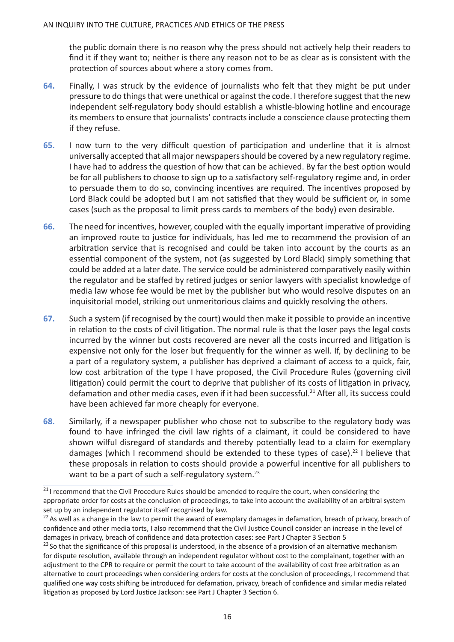the public domain there is no reason why the press should not actively help their readers to find it if they want to; neither is there any reason not to be as clear as is consistent with the protection of sources about where a story comes from.

- **64.** Finally, I was struck by the evidence of journalists who felt that they might be put under pressure to do things that were unethical or against the code. I therefore suggest that the new independent self-regulatory body should establish a whistle-blowing hotline and encourage its members to ensure that journalists' contracts include a conscience clause protecting them if they refuse.
- **65.** I now turn to the very difficult question of participation and underline that it is almost universally accepted that all major newspapers should be covered by a new regulatory regime. I have had to address the question of how that can be achieved. By far the best option would be for all publishers to choose to sign up to a satisfactory self-regulatory regime and, in order to persuade them to do so, convincing incentives are required. The incentives proposed by Lord Black could be adopted but I am not satisfied that they would be sufficient or, in some cases (such as the proposal to limit press cards to members of the body) even desirable.
- **66.** The need for incentives, however, coupled with the equally important imperative of providing an improved route to justice for individuals, has led me to recommend the provision of an arbitration service that is recognised and could be taken into account by the courts as an essential component of the system, not (as suggested by Lord Black) simply something that could be added at a later date. The service could be administered comparatively easily within the regulator and be staffed by retired judges or senior lawyers with specialist knowledge of media law whose fee would be met by the publisher but who would resolve disputes on an inquisitorial model, striking out unmeritorious claims and quickly resolving the others.
- **67.** Such a system (if recognised by the court) would then make it possible to provide an incentive in relation to the costs of civil litigation. The normal rule is that the loser pays the legal costs incurred by the winner but costs recovered are never all the costs incurred and litigation is expensive not only for the loser but frequently for the winner as well. If, by declining to be a part of a regulatory system, a publisher has deprived a claimant of access to a quick, fair, low cost arbitration of the type I have proposed, the Civil Procedure Rules (governing civil litigation) could permit the court to deprive that publisher of its costs of litigation in privacy, defamation and other media cases, even if it had been successful.<sup>21</sup> After all, its success could have been achieved far more cheaply for everyone.
- **68.** Similarly, if a newspaper publisher who chose not to subscribe to the regulatory body was found to have infringed the civil law rights of a claimant, it could be considered to have shown wilful disregard of standards and thereby potentially lead to a claim for exemplary damages (which I recommend should be extended to these types of case).<sup>22</sup> I believe that these proposals in relation to costs should provide a powerful incentive for all publishers to want to be a part of such a self-regulatory system.<sup>23</sup>

<sup>&</sup>lt;sup>21</sup> I recommend that the Civil Procedure Rules should be amended to require the court, when considering the appropriate order for costs at the conclusion of proceedings, to take into account the availability of an arbitral system set up by an independent regulator itself recognised by law.

 $22$  As well as a change in the law to permit the award of exemplary damages in defamation, breach of privacy, breach of confidence and other media torts, I also recommend that the Civil Justice Council consider an increase in the level of damages in privacy, breach of confidence and data protection cases: see Part J Chapter 3 Section 5

 $^{23}$  So that the significance of this proposal is understood, in the absence of a provision of an alternative mechanism for dispute resolution, available through an independent regulator without cost to the complainant, together with an adjustment to the CPR to require or permit the court to take account of the availability of cost free arbitration as an alternative to court proceedings when considering orders for costs at the conclusion of proceedings, I recommend that qualified one way costs shifting be introduced for defamation, privacy, breach of confidence and similar media related litigation as proposed by Lord Justice Jackson: see Part J Chapter 3 Section 6.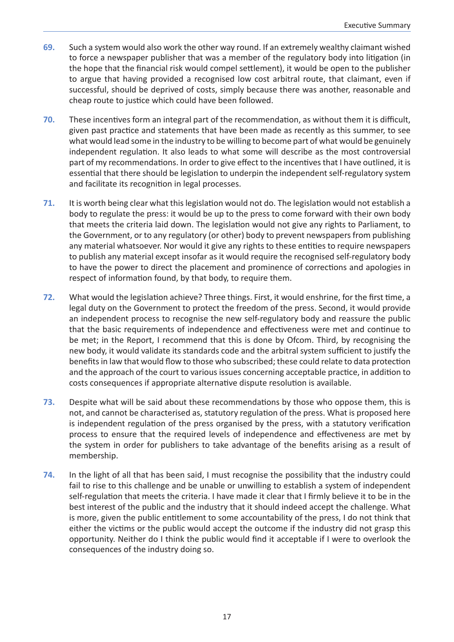- **69.** Such a system would also work the other way round. If an extremely wealthy claimant wished to force a newspaper publisher that was a member of the regulatory body into litigation (in the hope that the financial risk would compel settlement), it would be open to the publisher to argue that having provided a recognised low cost arbitral route, that claimant, even if successful, should be deprived of costs, simply because there was another, reasonable and cheap route to justice which could have been followed.
- **70.** These incentives form an integral part of the recommendation, as without them it is difficult, given past practice and statements that have been made as recently as this summer, to see what would lead some in the industry to be willing to become part of what would be genuinely independent regulation. It also leads to what some will describe as the most controversial part of my recommendations. In order to give effect to the incentives that I have outlined, it is essential that there should be legislation to underpin the independent self-regulatory system and facilitate its recognition in legal processes.
- **71.** It is worth being clear what this legislation would not do. The legislation would not establish a body to regulate the press: it would be up to the press to come forward with their own body that meets the criteria laid down. The legislation would not give any rights to Parliament, to the Government, or to any regulatory (or other) body to prevent newspapers from publishing any material whatsoever. Nor would it give any rights to these entities to require newspapers to publish any material except insofar as it would require the recognised self-regulatory body to have the power to direct the placement and prominence of corrections and apologies in respect of information found, by that body, to require them.
- **72.** What would the legislation achieve? Three things. First, it would enshrine, for the first time, a legal duty on the Government to protect the freedom of the press. Second, it would provide an independent process to recognise the new self-regulatory body and reassure the public that the basic requirements of independence and effectiveness were met and continue to be met; in the Report, I recommend that this is done by Ofcom. Third, by recognising the new body, it would validate its standards code and the arbitral system sufficient to justify the benefits in law that would flow to those who subscribed; these could relate to data protection and the approach of the court to various issues concerning acceptable practice, in addition to costs consequences if appropriate alternative dispute resolution is available.
- **73.** Despite what will be said about these recommendations by those who oppose them, this is not, and cannot be characterised as, statutory regulation of the press. What is proposed here is independent regulation of the press organised by the press, with a statutory verification process to ensure that the required levels of independence and effectiveness are met by the system in order for publishers to take advantage of the benefits arising as a result of membership.
- **74.** In the light of all that has been said, I must recognise the possibility that the industry could fail to rise to this challenge and be unable or unwilling to establish a system of independent self-regulation that meets the criteria. I have made it clear that I firmly believe it to be in the best interest of the public and the industry that it should indeed accept the challenge. What is more, given the public entitlement to some accountability of the press, I do not think that either the victims or the public would accept the outcome if the industry did not grasp this opportunity. Neither do I think the public would find it acceptable if I were to overlook the consequences of the industry doing so.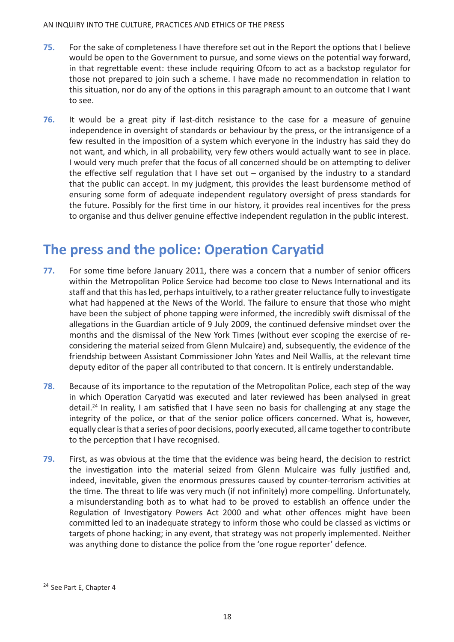#### AN INQUIRY INTO THE CULTURE, PRACTICES AND ETHICS OF THE PRESS

- **75.** For the sake of completeness I have therefore set out in the Report the options that I believe would be open to the Government to pursue, and some views on the potential way forward, in that regrettable event: these include requiring Ofcom to act as a backstop regulator for those not prepared to join such a scheme. I have made no recommendation in relation to this situation, nor do any of the options in this paragraph amount to an outcome that I want to see.
- **76.** It would be a great pity if last-ditch resistance to the case for a measure of genuine independence in oversight of standards or behaviour by the press, or the intransigence of a few resulted in the imposition of a system which everyone in the industry has said they do not want, and which, in all probability, very few others would actually want to see in place. I would very much prefer that the focus of all concerned should be on attempting to deliver the effective self regulation that I have set out – organised by the industry to a standard that the public can accept. In my judgment, this provides the least burdensome method of ensuring some form of adequate independent regulatory oversight of press standards for the future. Possibly for the first time in our history, it provides real incentives for the press to organise and thus deliver genuine effective independent regulation in the public interest.

## **The press and the police: Operation Caryatid**

- **77.** For some time before January 2011, there was a concern that a number of senior officers within the Metropolitan Police Service had become too close to News International and its staff and that this has led, perhaps intuitively, to a rather greater reluctance fully to investigate what had happened at the News of the World. The failure to ensure that those who might have been the subject of phone tapping were informed, the incredibly swift dismissal of the allegations in the Guardian article of 9 July 2009, the continued defensive mindset over the months and the dismissal of the New York Times (without ever scoping the exercise of reconsidering the material seized from Glenn Mulcaire) and, subsequently, the evidence of the friendship between Assistant Commissioner John Yates and Neil Wallis, at the relevant time deputy editor of the paper all contributed to that concern. It is entirely understandable.
- **78.** Because of its importance to the reputation of the Metropolitan Police, each step of the way in which Operation Caryatid was executed and later reviewed has been analysed in great detail.24 In reality, I am satisfied that I have seen no basis for challenging at any stage the integrity of the police, or that of the senior police officers concerned. What is, however, equally clear is that a series of poor decisions, poorly executed, all came together to contribute to the perception that I have recognised.
- **79.** First, as was obvious at the time that the evidence was being heard, the decision to restrict the investigation into the material seized from Glenn Mulcaire was fully justified and, indeed, inevitable, given the enormous pressures caused by counter-terrorism activities at the time. The threat to life was very much (if not infinitely) more compelling. Unfortunately, a misunderstanding both as to what had to be proved to establish an offence under the Regulation of Investigatory Powers Act 2000 and what other offences might have been committed led to an inadequate strategy to inform those who could be classed as victims or targets of phone hacking; in any event, that strategy was not properly implemented. Neither was anything done to distance the police from the 'one rogue reporter' defence.

<sup>&</sup>lt;sup>24</sup> See Part E, Chapter 4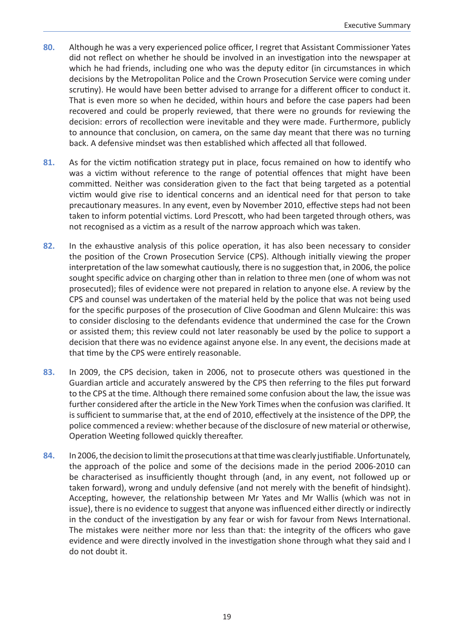- **80.** Although he was a very experienced police officer, I regret that Assistant Commissioner Yates did not reflect on whether he should be involved in an investigation into the newspaper at which he had friends, including one who was the deputy editor (in circumstances in which decisions by the Metropolitan Police and the Crown Prosecution Service were coming under scrutiny). He would have been better advised to arrange for a different officer to conduct it. That is even more so when he decided, within hours and before the case papers had been recovered and could be properly reviewed, that there were no grounds for reviewing the decision: errors of recollection were inevitable and they were made. Furthermore, publicly to announce that conclusion, on camera, on the same day meant that there was no turning back. A defensive mindset was then established which affected all that followed.
- **81.** As for the victim notification strategy put in place, focus remained on how to identify who was a victim without reference to the range of potential offences that might have been committed. Neither was consideration given to the fact that being targeted as a potential victim would give rise to identical concerns and an identical need for that person to take precautionary measures. In any event, even by November 2010, effective steps had not been taken to inform potential victims. Lord Prescott, who had been targeted through others, was not recognised as a victim as a result of the narrow approach which was taken.
- **82.** In the exhaustive analysis of this police operation, it has also been necessary to consider the position of the Crown Prosecution Service (CPS). Although initially viewing the proper interpretation of the law somewhat cautiously, there is no suggestion that, in 2006, the police sought specific advice on charging other than in relation to three men (one of whom was not prosecuted); files of evidence were not prepared in relation to anyone else. A review by the CPS and counsel was undertaken of the material held by the police that was not being used for the specific purposes of the prosecution of Clive Goodman and Glenn Mulcaire: this was to consider disclosing to the defendants evidence that undermined the case for the Crown or assisted them; this review could not later reasonably be used by the police to support a decision that there was no evidence against anyone else. In any event, the decisions made at that time by the CPS were entirely reasonable.
- **83.** In 2009, the CPS decision, taken in 2006, not to prosecute others was questioned in the Guardian article and accurately answered by the CPS then referring to the files put forward to the CPS at the time. Although there remained some confusion about the law, the issue was further considered after the article in the New York Times when the confusion was clarified. It is sufficient to summarise that, at the end of 2010, effectively at the insistence of the DPP, the police commenced a review: whether because of the disclosure of new material or otherwise, Operation Weeting followed quickly thereafter.
- **84.** In 2006, the decision to limit the prosecutions at that time was clearly justifiable. Unfortunately, the approach of the police and some of the decisions made in the period 2006-2010 can be characterised as insufficiently thought through (and, in any event, not followed up or taken forward), wrong and unduly defensive (and not merely with the benefit of hindsight). Accepting, however, the relationship between Mr Yates and Mr Wallis (which was not in issue), there is no evidence to suggest that anyone was influenced either directly or indirectly in the conduct of the investigation by any fear or wish for favour from News International. The mistakes were neither more nor less than that: the integrity of the officers who gave evidence and were directly involved in the investigation shone through what they said and I do not doubt it.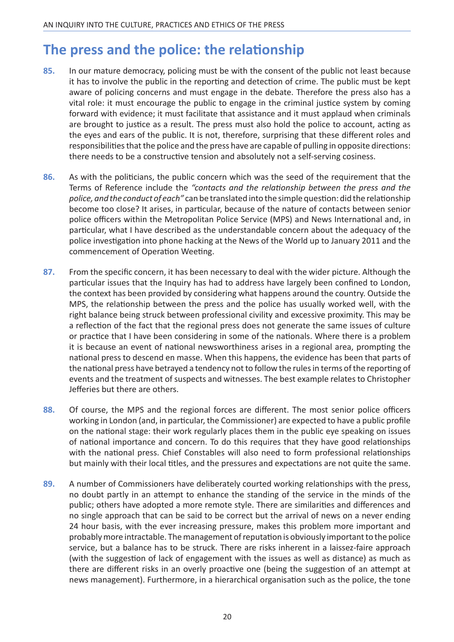## **The press and the police: the relationship**

- **85.** In our mature democracy, policing must be with the consent of the public not least because it has to involve the public in the reporting and detection of crime. The public must be kept aware of policing concerns and must engage in the debate. Therefore the press also has a vital role: it must encourage the public to engage in the criminal justice system by coming forward with evidence; it must facilitate that assistance and it must applaud when criminals are brought to justice as a result. The press must also hold the police to account, acting as the eyes and ears of the public. It is not, therefore, surprising that these different roles and responsibilities that the police and the press have are capable of pulling in opposite directions: there needs to be a constructive tension and absolutely not a self-serving cosiness.
- **86.** As with the politicians, the public concern which was the seed of the requirement that the Terms of Reference include the *"contacts and the relationship between the press and the police, and the conduct of each"* can be translated into the simple question: did the relationship become too close? It arises, in particular, because of the nature of contacts between senior police officers within the Metropolitan Police Service (MPS) and News International and, in particular, what I have described as the understandable concern about the adequacy of the police investigation into phone hacking at the News of the World up to January 2011 and the commencement of Operation Weeting.
- **87.** From the specific concern, it has been necessary to deal with the wider picture. Although the particular issues that the Inquiry has had to address have largely been confined to London, the context has been provided by considering what happens around the country. Outside the MPS, the relationship between the press and the police has usually worked well, with the right balance being struck between professional civility and excessive proximity. This may be a reflection of the fact that the regional press does not generate the same issues of culture or practice that I have been considering in some of the nationals. Where there is a problem it is because an event of national newsworthiness arises in a regional area, prompting the national press to descend en masse. When this happens, the evidence has been that parts of the national press have betrayed a tendency not to follow the rules in terms of the reporting of events and the treatment of suspects and witnesses. The best example relates to Christopher Jefferies but there are others.
- **88.** Of course, the MPS and the regional forces are different. The most senior police officers working in London (and, in particular, the Commissioner) are expected to have a public profile on the national stage: their work regularly places them in the public eye speaking on issues of national importance and concern. To do this requires that they have good relationships with the national press. Chief Constables will also need to form professional relationships but mainly with their local titles, and the pressures and expectations are not quite the same.
- **89.** A number of Commissioners have deliberately courted working relationships with the press, no doubt partly in an attempt to enhance the standing of the service in the minds of the public; others have adopted a more remote style. There are similarities and differences and no single approach that can be said to be correct but the arrival of news on a never ending 24 hour basis, with the ever increasing pressure, makes this problem more important and probably more intractable. The management of reputation is obviously important to the police service, but a balance has to be struck. There are risks inherent in a laissez-faire approach (with the suggestion of lack of engagement with the issues as well as distance) as much as there are different risks in an overly proactive one (being the suggestion of an attempt at news management). Furthermore, in a hierarchical organisation such as the police, the tone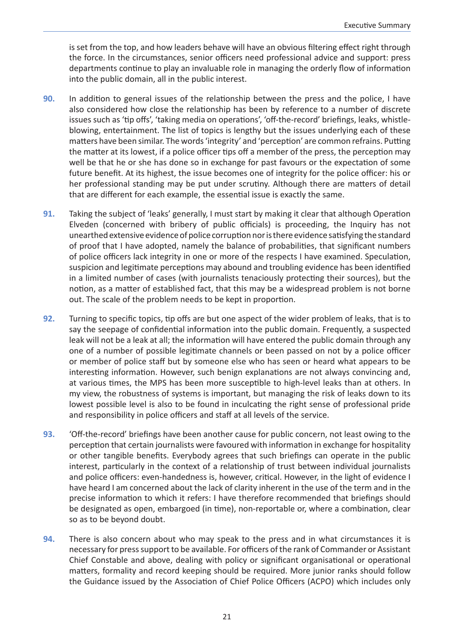is set from the top, and how leaders behave will have an obvious filtering effect right through the force. In the circumstances, senior officers need professional advice and support: press departments continue to play an invaluable role in managing the orderly flow of information into the public domain, all in the public interest.

- **90.** In addition to general issues of the relationship between the press and the police, I have also considered how close the relationship has been by reference to a number of discrete issues such as 'tip offs', 'taking media on operations', 'off-the-record' briefings, leaks, whistleblowing, entertainment. The list of topics is lengthy but the issues underlying each of these matters have been similar. The words 'integrity' and 'perception' are common refrains. Putting the matter at its lowest, if a police officer tips off a member of the press, the perception may well be that he or she has done so in exchange for past favours or the expectation of some future benefit. At its highest, the issue becomes one of integrity for the police officer: his or her professional standing may be put under scrutiny. Although there are matters of detail that are different for each example, the essential issue is exactly the same.
- **91.** Taking the subject of 'leaks' generally, I must start by making it clear that although Operation Elveden (concerned with bribery of public officials) is proceeding, the Inquiry has not unearthed extensive evidence of police corruption nor is there evidence satisfying the standard of proof that I have adopted, namely the balance of probabilities, that significant numbers of police officers lack integrity in one or more of the respects I have examined. Speculation, suspicion and legitimate perceptions may abound and troubling evidence has been identified in a limited number of cases (with journalists tenaciously protecting their sources), but the notion, as a matter of established fact, that this may be a widespread problem is not borne out. The scale of the problem needs to be kept in proportion.
- **92.** Turning to specific topics, tip offs are but one aspect of the wider problem of leaks, that is to say the seepage of confidential information into the public domain. Frequently, a suspected leak will not be a leak at all; the information will have entered the public domain through any one of a number of possible legitimate channels or been passed on not by a police officer or member of police staff but by someone else who has seen or heard what appears to be interesting information. However, such benign explanations are not always convincing and, at various times, the MPS has been more susceptible to high-level leaks than at others. In my view, the robustness of systems is important, but managing the risk of leaks down to its lowest possible level is also to be found in inculcating the right sense of professional pride and responsibility in police officers and staff at all levels of the service.
- **93.** 'Off-the-record' briefings have been another cause for public concern, not least owing to the perception that certain journalists were favoured with information in exchange for hospitality or other tangible benefits. Everybody agrees that such briefings can operate in the public interest, particularly in the context of a relationship of trust between individual journalists and police officers: even-handedness is, however, critical. However, in the light of evidence I have heard I am concerned about the lack of clarity inherent in the use of the term and in the precise information to which it refers: I have therefore recommended that briefings should be designated as open, embargoed (in time), non-reportable or, where a combination, clear so as to be beyond doubt.
- **94.** There is also concern about who may speak to the press and in what circumstances it is necessary for press support to be available. For officers of the rank of Commander or Assistant Chief Constable and above, dealing with policy or significant organisational or operational matters, formality and record keeping should be required. More junior ranks should follow the Guidance issued by the Association of Chief Police Officers (ACPO) which includes only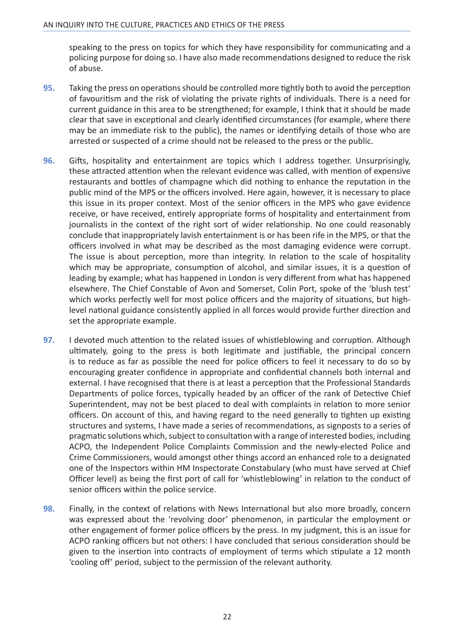speaking to the press on topics for which they have responsibility for communicating and a policing purpose for doing so. I have also made recommendations designed to reduce the risk of abuse.

- **95.** Taking the press on operations should be controlled more tightly both to avoid the perception of favouritism and the risk of violating the private rights of individuals. There is a need for current guidance in this area to be strengthened; for example, I think that it should be made clear that save in exceptional and clearly identified circumstances (for example, where there may be an immediate risk to the public), the names or identifying details of those who are arrested or suspected of a crime should not be released to the press or the public.
- **96.** Gifts, hospitality and entertainment are topics which I address together. Unsurprisingly, these attracted attention when the relevant evidence was called, with mention of expensive restaurants and bottles of champagne which did nothing to enhance the reputation in the public mind of the MPS or the officers involved. Here again, however, it is necessary to place this issue in its proper context. Most of the senior officers in the MPS who gave evidence receive, or have received, entirely appropriate forms of hospitality and entertainment from journalists in the context of the right sort of wider relationship. No one could reasonably conclude that inappropriately lavish entertainment is or has been rife in the MPS, or that the officers involved in what may be described as the most damaging evidence were corrupt. The issue is about perception, more than integrity. In relation to the scale of hospitality which may be appropriate, consumption of alcohol, and similar issues, it is a question of leading by example; what has happened in London is very different from what has happened elsewhere. The Chief Constable of Avon and Somerset, Colin Port, spoke of the 'blush test' which works perfectly well for most police officers and the majority of situations, but highlevel national guidance consistently applied in all forces would provide further direction and set the appropriate example.
- **97.** I devoted much attention to the related issues of whistleblowing and corruption. Although ultimately, going to the press is both legitimate and justifiable, the principal concern is to reduce as far as possible the need for police officers to feel it necessary to do so by encouraging greater confidence in appropriate and confidential channels both internal and external. I have recognised that there is at least a perception that the Professional Standards Departments of police forces, typically headed by an officer of the rank of Detective Chief Superintendent, may not be best placed to deal with complaints in relation to more senior officers. On account of this, and having regard to the need generally to tighten up existing structures and systems, I have made a series of recommendations, as signposts to a series of pragmatic solutions which, subject to consultation with a range of interested bodies, including ACPO, the Independent Police Complaints Commission and the newly-elected Police and Crime Commissioners, would amongst other things accord an enhanced role to a designated one of the Inspectors within HM Inspectorate Constabulary (who must have served at Chief Officer level) as being the first port of call for 'whistleblowing' in relation to the conduct of senior officers within the police service.
- **98.** Finally, in the context of relations with News International but also more broadly, concern was expressed about the 'revolving door' phenomenon, in particular the employment or other engagement of former police officers by the press. In my judgment, this is an issue for ACPO ranking officers but not others: I have concluded that serious consideration should be given to the insertion into contracts of employment of terms which stipulate a 12 month 'cooling off' period, subject to the permission of the relevant authority.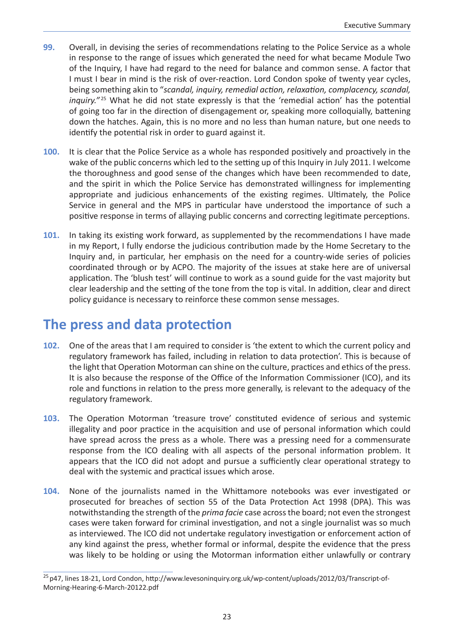- **99.** Overall, in devising the series of recommendations relating to the Police Service as a whole in response to the range of issues which generated the need for what became Module Two of the Inquiry, I have had regard to the need for balance and common sense. A factor that I must I bear in mind is the risk of over-reaction. Lord Condon spoke of twenty year cycles, being something akin to "*scandal, inquiry, remedial action, relaxation, complacency, scandal, inquiry."* 25 What he did not state expressly is that the 'remedial action' has the potential of going too far in the direction of disengagement or, speaking more colloquially, battening down the hatches. Again, this is no more and no less than human nature, but one needs to identify the potential risk in order to guard against it.
- **100.** It is clear that the Police Service as a whole has responded positively and proactively in the wake of the public concerns which led to the setting up of this Inquiry in July 2011. I welcome the thoroughness and good sense of the changes which have been recommended to date, and the spirit in which the Police Service has demonstrated willingness for implementing appropriate and judicious enhancements of the existing regimes. Ultimately, the Police Service in general and the MPS in particular have understood the importance of such a positive response in terms of allaying public concerns and correcting legitimate perceptions.
- **101.** In taking its existing work forward, as supplemented by the recommendations I have made in my Report, I fully endorse the judicious contribution made by the Home Secretary to the Inquiry and, in particular, her emphasis on the need for a country-wide series of policies coordinated through or by ACPO. The majority of the issues at stake here are of universal application. The 'blush test' will continue to work as a sound guide for the vast majority but clear leadership and the setting of the tone from the top is vital. In addition, clear and direct policy guidance is necessary to reinforce these common sense messages.

## **The press and data protection**

- **102.** One of the areas that I am required to consider is 'the extent to which the current policy and regulatory framework has failed, including in relation to data protection'. This is because of the light that Operation Motorman can shine on the culture, practices and ethics of the press. It is also because the response of the Office of the Information Commissioner (ICO), and its role and functions in relation to the press more generally, is relevant to the adequacy of the regulatory framework.
- **103.** The Operation Motorman 'treasure trove' constituted evidence of serious and systemic illegality and poor practice in the acquisition and use of personal information which could have spread across the press as a whole. There was a pressing need for a commensurate response from the ICO dealing with all aspects of the personal information problem. It appears that the ICO did not adopt and pursue a sufficiently clear operational strategy to deal with the systemic and practical issues which arose.
- **104.** None of the journalists named in the Whittamore notebooks was ever investigated or prosecuted for breaches of section 55 of the Data Protection Act 1998 (DPA). This was notwithstanding the strength of the *prima facie* case across the board; not even the strongest cases were taken forward for criminal investigation, and not a single journalist was so much as interviewed. The ICO did not undertake regulatory investigation or enforcement action of any kind against the press, whether formal or informal, despite the evidence that the press was likely to be holding or using the Motorman information either unlawfully or contrary

<sup>25</sup> p47, lines 18-21, Lord Condon, http://www.levesoninquiry.org.uk/wp-content/uploads/2012/03/Transcript-of-Morning-Hearing-6-March-20122.pdf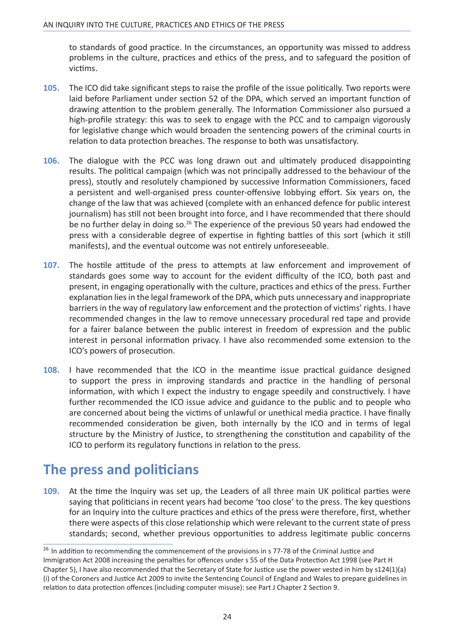to standards of good practice. In the circumstances, an opportunity was missed to address problems in the culture, practices and ethics of the press, and to safeguard the position of victims.

- **105.** The ICO did take significant steps to raise the profile of the issue politically. Two reports were laid before Parliament under section 52 of the DPA, which served an important function of drawing attention to the problem generally. The Information Commissioner also pursued a high-profile strategy: this was to seek to engage with the PCC and to campaign vigorously for legislative change which would broaden the sentencing powers of the criminal courts in relation to data protection breaches. The response to both was unsatisfactory.
- **106.** The dialogue with the PCC was long drawn out and ultimately produced disappointing results. The political campaign (which was not principally addressed to the behaviour of the press), stoutly and resolutely championed by successive Information Commissioners, faced a persistent and well-organised press counter-offensive lobbying effort. Six years on, the change of the law that was achieved (complete with an enhanced defence for public interest journalism) has still not been brought into force, and I have recommended that there should be no further delay in doing so.<sup>26</sup> The experience of the previous 50 years had endowed the press with a considerable degree of expertise in fighting battles of this sort (which it still manifests), and the eventual outcome was not entirely unforeseeable.
- **107.** The hostile attitude of the press to attempts at law enforcement and improvement of standards goes some way to account for the evident difficulty of the ICO, both past and present, in engaging operationally with the culture, practices and ethics of the press. Further explanation lies in the legal framework of the DPA, which puts unnecessary and inappropriate barriers in the way of regulatory law enforcement and the protection of victims' rights. I have recommended changes in the law to remove unnecessary procedural red tape and provide for a fairer balance between the public interest in freedom of expression and the public interest in personal information privacy. I have also recommended some extension to the ICO's powers of prosecution.
- **108.** I have recommended that the ICO in the meantime issue practical guidance designed to support the press in improving standards and practice in the handling of personal information, with which I expect the industry to engage speedily and constructively. I have further recommended the ICO issue advice and guidance to the public and to people who are concerned about being the victims of unlawful or unethical media practice. I have finally recommended consideration be given, both internally by the ICO and in terms of legal structure by the Ministry of Justice, to strengthening the constitution and capability of the ICO to perform its regulatory functions in relation to the press.

## **The press and politicians**

**109.** At the time the Inquiry was set up, the Leaders of all three main UK political parties were saying that politicians in recent years had become 'too close' to the press. The key questions for an Inquiry into the culture practices and ethics of the press were therefore, first, whether there were aspects of this close relationship which were relevant to the current state of press standards; second, whether previous opportunities to address legitimate public concerns

<sup>&</sup>lt;sup>26</sup> In addition to recommending the commencement of the provisions in s 77-78 of the Criminal Justice and Immigration Act 2008 increasing the penalties for offences under s 55 of the Data Protection Act 1998 (see Part H Chapter 5), I have also recommended that the Secretary of State for Justice use the power vested in him by s124(1)(a) (i) of the Coroners and Justice Act 2009 to invite the Sentencing Council of England and Wales to prepare guidelines in relation to data protection offences (including computer misuse): see Part J Chapter 2 Section 9.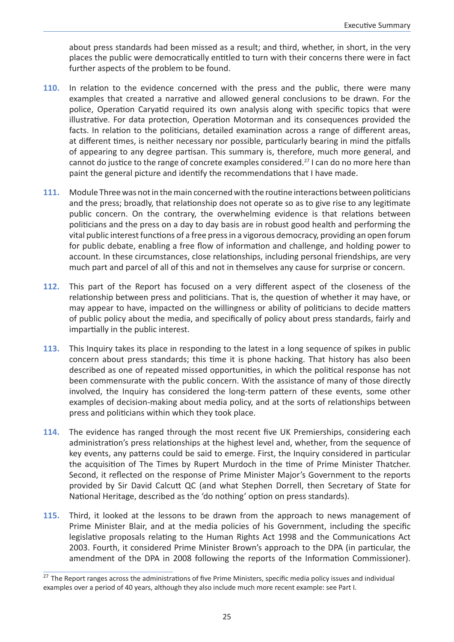about press standards had been missed as a result; and third, whether, in short, in the very places the public were democratically entitled to turn with their concerns there were in fact further aspects of the problem to be found.

- **110.** In relation to the evidence concerned with the press and the public, there were many examples that created a narrative and allowed general conclusions to be drawn. For the police, Operation Caryatid required its own analysis along with specific topics that were illustrative. For data protection, Operation Motorman and its consequences provided the facts. In relation to the politicians, detailed examination across a range of different areas, at different times, is neither necessary nor possible, particularly bearing in mind the pitfalls of appearing to any degree partisan. This summary is, therefore, much more general, and cannot do justice to the range of concrete examples considered.<sup>27</sup> I can do no more here than paint the general picture and identify the recommendations that I have made.
- **111.** Module Three was not in the main concerned with the routine interactions between politicians and the press; broadly, that relationship does not operate so as to give rise to any legitimate public concern. On the contrary, the overwhelming evidence is that relations between politicians and the press on a day to day basis are in robust good health and performing the vital public interest functions of a free press in a vigorous democracy, providing an open forum for public debate, enabling a free flow of information and challenge, and holding power to account. In these circumstances, close relationships, including personal friendships, are very much part and parcel of all of this and not in themselves any cause for surprise or concern.
- **112.** This part of the Report has focused on a very different aspect of the closeness of the relationship between press and politicians. That is, the question of whether it may have, or may appear to have, impacted on the willingness or ability of politicians to decide matters of public policy about the media, and specifically of policy about press standards, fairly and impartially in the public interest.
- **113.** This Inquiry takes its place in responding to the latest in a long sequence of spikes in public concern about press standards; this time it is phone hacking. That history has also been described as one of repeated missed opportunities, in which the political response has not been commensurate with the public concern. With the assistance of many of those directly involved, the Inquiry has considered the long-term pattern of these events, some other examples of decision-making about media policy, and at the sorts of relationships between press and politicians within which they took place.
- **114.** The evidence has ranged through the most recent five UK Premierships, considering each administration's press relationships at the highest level and, whether, from the sequence of key events, any patterns could be said to emerge. First, the Inquiry considered in particular the acquisition of The Times by Rupert Murdoch in the time of Prime Minister Thatcher. Second, it reflected on the response of Prime Minister Major's Government to the reports provided by Sir David Calcutt QC (and what Stephen Dorrell, then Secretary of State for National Heritage, described as the 'do nothing' option on press standards).
- **115.** Third, it looked at the lessons to be drawn from the approach to news management of Prime Minister Blair, and at the media policies of his Government, including the specific legislative proposals relating to the Human Rights Act 1998 and the Communications Act 2003. Fourth, it considered Prime Minister Brown's approach to the DPA (in particular, the amendment of the DPA in 2008 following the reports of the Information Commissioner).

<sup>&</sup>lt;sup>27</sup> The Report ranges across the administrations of five Prime Ministers, specific media policy issues and individual examples over a period of 40 years, although they also include much more recent example: see Part I.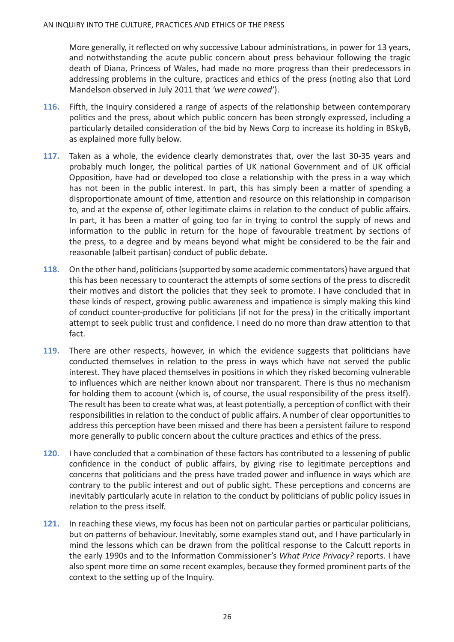More generally, it reflected on why successive Labour administrations, in power for 13 years, and notwithstanding the acute public concern about press behaviour following the tragic death of Diana, Princess of Wales, had made no more progress than their predecessors in addressing problems in the culture, practices and ethics of the press (noting also that Lord Mandelson observed in July 2011 that *'we were cowed'*).

- **116.** Fifth, the Inquiry considered a range of aspects of the relationship between contemporary politics and the press, about which public concern has been strongly expressed, including a particularly detailed consideration of the bid by News Corp to increase its holding in BSkyB, as explained more fully below.
- **117.** Taken as a whole, the evidence clearly demonstrates that, over the last 30-35 years and probably much longer, the political parties of UK national Government and of UK official Opposition, have had or developed too close a relationship with the press in a way which has not been in the public interest. In part, this has simply been a matter of spending a disproportionate amount of time, attention and resource on this relationship in comparison to, and at the expense of, other legitimate claims in relation to the conduct of public affairs. In part, it has been a matter of going too far in trying to control the supply of news and information to the public in return for the hope of favourable treatment by sections of the press, to a degree and by means beyond what might be considered to be the fair and reasonable (albeit partisan) conduct of public debate.
- **118.** On the other hand, politicians (supported by some academic commentators) have argued that this has been necessary to counteract the attempts of some sections of the press to discredit their motives and distort the policies that they seek to promote. I have concluded that in these kinds of respect, growing public awareness and impatience is simply making this kind of conduct counter-productive for politicians (if not for the press) in the critically important attempt to seek public trust and confidence. I need do no more than draw attention to that fact.
- **119.** There are other respects, however, in which the evidence suggests that politicians have conducted themselves in relation to the press in ways which have not served the public interest. They have placed themselves in positions in which they risked becoming vulnerable to influences which are neither known about nor transparent. There is thus no mechanism for holding them to account (which is, of course, the usual responsibility of the press itself). The result has been to create what was, at least potentially, a perception of conflict with their responsibilities in relation to the conduct of public affairs. A number of clear opportunities to address this perception have been missed and there has been a persistent failure to respond more generally to public concern about the culture practices and ethics of the press.
- **120.** I have concluded that a combination of these factors has contributed to a lessening of public confidence in the conduct of public affairs, by giving rise to legitimate perceptions and concerns that politicians and the press have traded power and influence in ways which are contrary to the public interest and out of public sight. These perceptions and concerns are inevitably particularly acute in relation to the conduct by politicians of public policy issues in relation to the press itself.
- **121.** In reaching these views, my focus has been not on particular parties or particular politicians, but on patterns of behaviour. Inevitably, some examples stand out, and I have particularly in mind the lessons which can be drawn from the political response to the Calcutt reports in the early 1990s and to the Information Commissioner's *What Price Privacy?* reports. I have also spent more time on some recent examples, because they formed prominent parts of the context to the setting up of the Inquiry.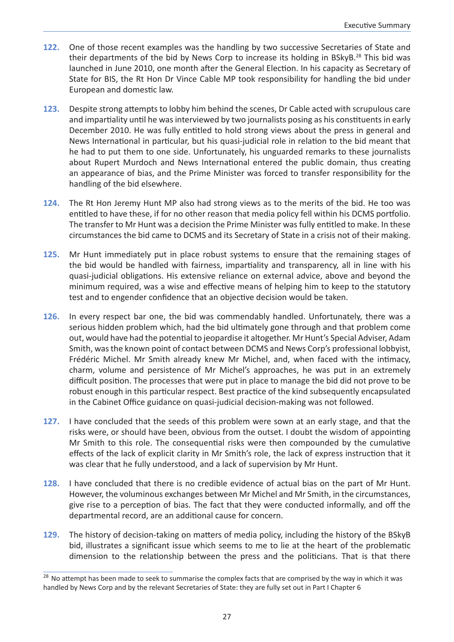- **122.** One of those recent examples was the handling by two successive Secretaries of State and their departments of the bid by News Corp to increase its holding in BSkyB.<sup>28</sup> This bid was launched in June 2010, one month after the General Election. In his capacity as Secretary of State for BIS, the Rt Hon Dr Vince Cable MP took responsibility for handling the bid under European and domestic law.
- **123.** Despite strong attempts to lobby him behind the scenes, Dr Cable acted with scrupulous care and impartiality until he was interviewed by two journalists posing as his constituents in early December 2010. He was fully entitled to hold strong views about the press in general and News International in particular, but his quasi-judicial role in relation to the bid meant that he had to put them to one side. Unfortunately, his unguarded remarks to these journalists about Rupert Murdoch and News International entered the public domain, thus creating an appearance of bias, and the Prime Minister was forced to transfer responsibility for the handling of the bid elsewhere.
- **124.** The Rt Hon Jeremy Hunt MP also had strong views as to the merits of the bid. He too was entitled to have these, if for no other reason that media policy fell within his DCMS portfolio. The transfer to Mr Hunt was a decision the Prime Minister was fully entitled to make. In these circumstances the bid came to DCMS and its Secretary of State in a crisis not of their making.
- **125.** Mr Hunt immediately put in place robust systems to ensure that the remaining stages of the bid would be handled with fairness, impartiality and transparency, all in line with his quasi-judicial obligations. His extensive reliance on external advice, above and beyond the minimum required, was a wise and effective means of helping him to keep to the statutory test and to engender confidence that an objective decision would be taken.
- **126.** In every respect bar one, the bid was commendably handled. Unfortunately, there was a serious hidden problem which, had the bid ultimately gone through and that problem come out, would have had the potential to jeopardise it altogether. Mr Hunt's Special Adviser, Adam Smith, was the known point of contact between DCMS and News Corp's professional lobbyist, Frédéric Michel. Mr Smith already knew Mr Michel, and, when faced with the intimacy, charm, volume and persistence of Mr Michel's approaches, he was put in an extremely difficult position. The processes that were put in place to manage the bid did not prove to be robust enough in this particular respect. Best practice of the kind subsequently encapsulated in the Cabinet Office guidance on quasi-judicial decision-making was not followed.
- **127.** I have concluded that the seeds of this problem were sown at an early stage, and that the risks were, or should have been, obvious from the outset. I doubt the wisdom of appointing Mr Smith to this role. The consequential risks were then compounded by the cumulative effects of the lack of explicit clarity in Mr Smith's role, the lack of express instruction that it was clear that he fully understood, and a lack of supervision by Mr Hunt.
- **128.** I have concluded that there is no credible evidence of actual bias on the part of Mr Hunt. However, the voluminous exchanges between Mr Michel and Mr Smith, in the circumstances, give rise to a perception of bias. The fact that they were conducted informally, and off the departmental record, are an additional cause for concern.
- **129.** The history of decision-taking on matters of media policy, including the history of the BSkyB bid, illustrates a significant issue which seems to me to lie at the heart of the problematic dimension to the relationship between the press and the politicians. That is that there

<sup>&</sup>lt;sup>28</sup> No attempt has been made to seek to summarise the complex facts that are comprised by the way in which it was handled by News Corp and by the relevant Secretaries of State: they are fully set out in Part I Chapter 6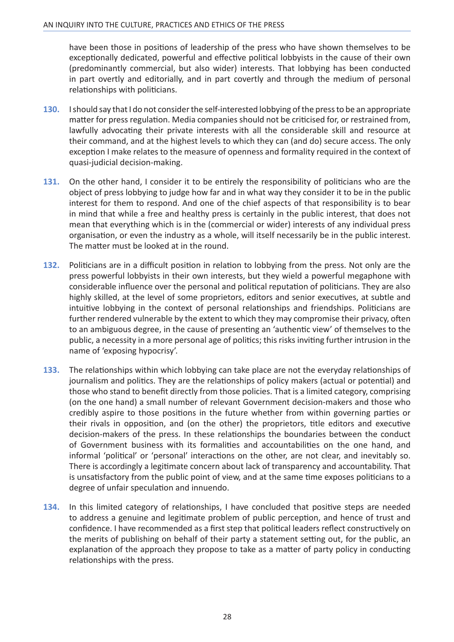have been those in positions of leadership of the press who have shown themselves to be exceptionally dedicated, powerful and effective political lobbyists in the cause of their own (predominantly commercial, but also wider) interests. That lobbying has been conducted in part overtly and editorially, and in part covertly and through the medium of personal relationships with politicians.

- **130.** I should say that I do not consider the self-interested lobbying of the press to be an appropriate matter for press regulation. Media companies should not be criticised for, or restrained from, lawfully advocating their private interests with all the considerable skill and resource at their command, and at the highest levels to which they can (and do) secure access. The only exception I make relates to the measure of openness and formality required in the context of quasi-judicial decision-making.
- **131.** On the other hand, I consider it to be entirely the responsibility of politicians who are the object of press lobbying to judge how far and in what way they consider it to be in the public interest for them to respond. And one of the chief aspects of that responsibility is to bear in mind that while a free and healthy press is certainly in the public interest, that does not mean that everything which is in the (commercial or wider) interests of any individual press organisation, or even the industry as a whole, will itself necessarily be in the public interest. The matter must be looked at in the round.
- **132.** Politicians are in a difficult position in relation to lobbying from the press. Not only are the press powerful lobbyists in their own interests, but they wield a powerful megaphone with considerable influence over the personal and political reputation of politicians. They are also highly skilled, at the level of some proprietors, editors and senior executives, at subtle and intuitive lobbying in the context of personal relationships and friendships. Politicians are further rendered vulnerable by the extent to which they may compromise their privacy, often to an ambiguous degree, in the cause of presenting an 'authentic view' of themselves to the public, a necessity in a more personal age of politics; this risks inviting further intrusion in the name of 'exposing hypocrisy'.
- **133.** The relationships within which lobbying can take place are not the everyday relationships of journalism and politics. They are the relationships of policy makers (actual or potential) and those who stand to benefit directly from those policies. That is a limited category, comprising (on the one hand) a small number of relevant Government decision-makers and those who credibly aspire to those positions in the future whether from within governing parties or their rivals in opposition, and (on the other) the proprietors, title editors and executive decision-makers of the press. In these relationships the boundaries between the conduct of Government business with its formalities and accountabilities on the one hand, and informal 'political' or 'personal' interactions on the other, are not clear, and inevitably so. There is accordingly a legitimate concern about lack of transparency and accountability. That is unsatisfactory from the public point of view, and at the same time exposes politicians to a degree of unfair speculation and innuendo.
- **134.** In this limited category of relationships, I have concluded that positive steps are needed to address a genuine and legitimate problem of public perception, and hence of trust and confidence. I have recommended as a first step that political leaders reflect constructively on the merits of publishing on behalf of their party a statement setting out, for the public, an explanation of the approach they propose to take as a matter of party policy in conducting relationships with the press.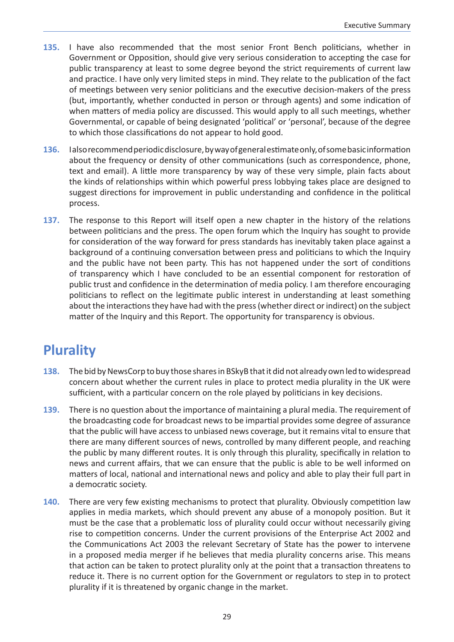- **135.** I have also recommended that the most senior Front Bench politicians, whether in Government or Opposition, should give very serious consideration to accepting the case for public transparency at least to some degree beyond the strict requirements of current law and practice. I have only very limited steps in mind. They relate to the publication of the fact of meetings between very senior politicians and the executive decision-makers of the press (but, importantly, whether conducted in person or through agents) and some indication of when matters of media policy are discussed. This would apply to all such meetings, whether Governmental, or capable of being designated 'political' or 'personal', because of the degree to which those classifications do not appear to hold good.
- **136.** I also recommend periodic disclosure, by way of general estimate only, of some basic information about the frequency or density of other communications (such as correspondence, phone, text and email). A little more transparency by way of these very simple, plain facts about the kinds of relationships within which powerful press lobbying takes place are designed to suggest directions for improvement in public understanding and confidence in the political process.
- **137.** The response to this Report will itself open a new chapter in the history of the relations between politicians and the press. The open forum which the Inquiry has sought to provide for consideration of the way forward for press standards has inevitably taken place against a background of a continuing conversation between press and politicians to which the Inquiry and the public have not been party. This has not happened under the sort of conditions of transparency which I have concluded to be an essential component for restoration of public trust and confidence in the determination of media policy. I am therefore encouraging politicians to reflect on the legitimate public interest in understanding at least something about the interactions they have had with the press (whether direct or indirect) on the subject matter of the Inquiry and this Report. The opportunity for transparency is obvious.

## **Plurality**

- **138.** The bid by NewsCorp to buy those shares in BSkyB that it did not already own led to widespread concern about whether the current rules in place to protect media plurality in the UK were sufficient, with a particular concern on the role played by politicians in key decisions.
- **139.** There is no question about the importance of maintaining a plural media. The requirement of the broadcasting code for broadcast news to be impartial provides some degree of assurance that the public will have access to unbiased news coverage, but it remains vital to ensure that there are many different sources of news, controlled by many different people, and reaching the public by many different routes. It is only through this plurality, specifically in relation to news and current affairs, that we can ensure that the public is able to be well informed on matters of local, national and international news and policy and able to play their full part in a democratic society.
- **140.** There are very few existing mechanisms to protect that plurality. Obviously competition law applies in media markets, which should prevent any abuse of a monopoly position. But it must be the case that a problematic loss of plurality could occur without necessarily giving rise to competition concerns. Under the current provisions of the Enterprise Act 2002 and the Communications Act 2003 the relevant Secretary of State has the power to intervene in a proposed media merger if he believes that media plurality concerns arise. This means that action can be taken to protect plurality only at the point that a transaction threatens to reduce it. There is no current option for the Government or regulators to step in to protect plurality if it is threatened by organic change in the market.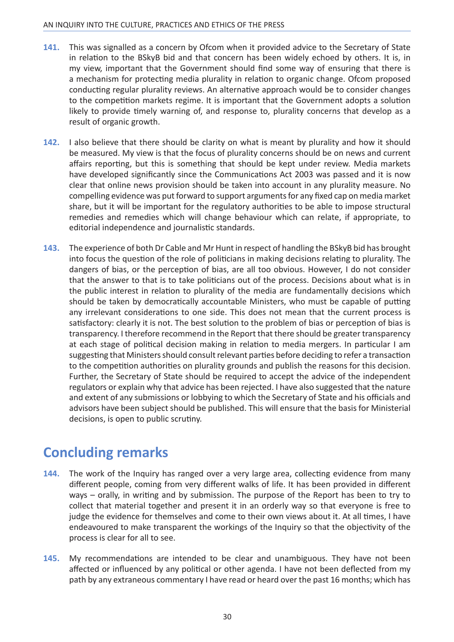#### AN INQUIRY INTO THE CULTURE, PRACTICES AND ETHICS OF THE PRESS

- **141.** This was signalled as a concern by Ofcom when it provided advice to the Secretary of State in relation to the BSkyB bid and that concern has been widely echoed by others. It is, in my view, important that the Government should find some way of ensuring that there is a mechanism for protecting media plurality in relation to organic change. Ofcom proposed conducting regular plurality reviews. An alternative approach would be to consider changes to the competition markets regime. It is important that the Government adopts a solution likely to provide timely warning of, and response to, plurality concerns that develop as a result of organic growth.
- **142.** I also believe that there should be clarity on what is meant by plurality and how it should be measured. My view is that the focus of plurality concerns should be on news and current affairs reporting, but this is something that should be kept under review. Media markets have developed significantly since the Communications Act 2003 was passed and it is now clear that online news provision should be taken into account in any plurality measure. No compelling evidence was put forward to support arguments for any fixed cap on media market share, but it will be important for the regulatory authorities to be able to impose structural remedies and remedies which will change behaviour which can relate, if appropriate, to editorial independence and journalistic standards.
- **143.** The experience of both Dr Cable and Mr Hunt in respect of handling the BSkyB bid has brought into focus the question of the role of politicians in making decisions relating to plurality. The dangers of bias, or the perception of bias, are all too obvious. However, I do not consider that the answer to that is to take politicians out of the process. Decisions about what is in the public interest in relation to plurality of the media are fundamentally decisions which should be taken by democratically accountable Ministers, who must be capable of putting any irrelevant considerations to one side. This does not mean that the current process is satisfactory: clearly it is not. The best solution to the problem of bias or perception of bias is transparency. I therefore recommend in the Report that there should be greater transparency at each stage of political decision making in relation to media mergers. In particular I am suggesting that Ministers should consult relevant parties before deciding to refer a transaction to the competition authorities on plurality grounds and publish the reasons for this decision. Further, the Secretary of State should be required to accept the advice of the independent regulators or explain why that advice has been rejected. I have also suggested that the nature and extent of any submissions or lobbying to which the Secretary of State and his officials and advisors have been subject should be published. This will ensure that the basis for Ministerial decisions, is open to public scrutiny.

## **Concluding remarks**

- **144.** The work of the Inquiry has ranged over a very large area, collecting evidence from many different people, coming from very different walks of life. It has been provided in different ways – orally, in writing and by submission. The purpose of the Report has been to try to collect that material together and present it in an orderly way so that everyone is free to judge the evidence for themselves and come to their own views about it. At all times, I have endeavoured to make transparent the workings of the Inquiry so that the objectivity of the process is clear for all to see.
- **145.** My recommendations are intended to be clear and unambiguous. They have not been affected or influenced by any political or other agenda. I have not been deflected from my path by any extraneous commentary I have read or heard over the past 16 months; which has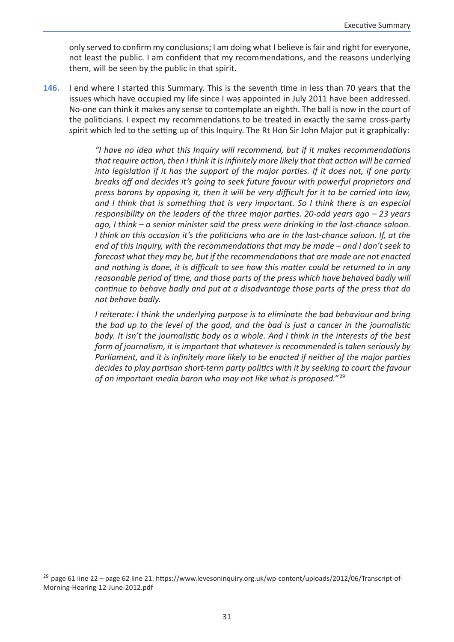only served to confirm my conclusions; I am doing what I believe is fair and right for everyone, not least the public. I am confident that my recommendations, and the reasons underlying them, will be seen by the public in that spirit.

**146.** I end where I started this Summary. This is the seventh time in less than 70 years that the issues which have occupied my life since I was appointed in July 2011 have been addressed. No-one can think it makes any sense to contemplate an eighth. The ball is now in the court of the politicians. I expect my recommendations to be treated in exactly the same cross-party spirit which led to the setting up of this Inquiry. The Rt Hon Sir John Major put it graphically:

> *"I have no idea what this Inquiry will recommend, but if it makes recommendations that require action, then I think it is infinitely more likely that that action will be carried into legislation if it has the support of the major parties. If it does not, if one party breaks off and decides it's going to seek future favour with powerful proprietors and press barons by opposing it, then it will be very difficult for it to be carried into law, and I think that is something that is very important. So I think there is an especial responsibility on the leaders of the three major parties. 20-odd years ago – 23 years ago, I think – a senior minister said the press were drinking in the last-chance saloon. I think on this occasion it's the politicians who are in the last-chance saloon. If, at the end of this Inquiry, with the recommendations that may be made – and I don't seek to forecast what they may be, but if the recommendations that are made are not enacted and nothing is done, it is difficult to see how this matter could be returned to in any*  reasonable period of time, and those parts of the press which have behaved badly will *continue to behave badly and put at a disadvantage those parts of the press that do not behave badly.*

> *I* reiterate: *I think the underlying purpose is to eliminate the bad behaviour and bring the bad up to the level of the good, and the bad is just a cancer in the journalistic body. It isn't the journalistic body as a whole. And I think in the interests of the best form of journalism, it is important that whatever is recommended is taken seriously by Parliament, and it is infinitely more likely to be enacted if neither of the major parties decides to play partisan short-term party politics with it by seeking to court the favour of an important media baron who may not like what is proposed."* <sup>29</sup>

 $^{29}$  page 61 line 22 – page 62 line 21: https://www.levesoninquiry.org.uk/wp-content/uploads/2012/06/Transcript-of-Morning-Hearing-12-June-2012.pdf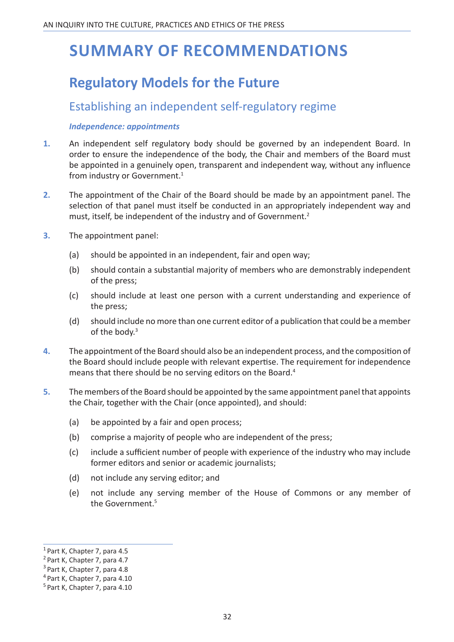## **Summary of recommendationS**

## **Regulatory Models for the Future**

### Establishing an independent self-regulatory regime

### *Independence: appointments*

- **1.** An independent self regulatory body should be governed by an independent Board. In order to ensure the independence of the body, the Chair and members of the Board must be appointed in a genuinely open, transparent and independent way, without any influence from industry or Government.<sup>1</sup>
- **2.** The appointment of the Chair of the Board should be made by an appointment panel. The selection of that panel must itself be conducted in an appropriately independent way and must, itself, be independent of the industry and of Government.<sup>2</sup>
- **3.** The appointment panel:
	- (a) should be appointed in an independent, fair and open way;
	- (b) should contain a substantial majority of members who are demonstrably independent of the press;
	- (c) should include at least one person with a current understanding and experience of the press;
	- (d) should include no more than one current editor of a publication that could be a member of the body.3
- **4.** The appointment of the Board should also be an independent process, and the composition of the Board should include people with relevant expertise. The requirement for independence means that there should be no serving editors on the Board.4
- **5.** The members of the Board should be appointed by the same appointment panel that appoints the Chair, together with the Chair (once appointed), and should:
	- (a) be appointed by a fair and open process;
	- (b) comprise a majority of people who are independent of the press;
	- (c) include a sufficient number of people with experience of the industry who may include former editors and senior or academic journalists;
	- (d) not include any serving editor; and
	- (e) not include any serving member of the House of Commons or any member of the Government.<sup>5</sup>

<sup>1</sup> Part K, Chapter 7, para 4.5

<sup>2</sup> Part K, Chapter 7, para 4.7

<sup>&</sup>lt;sup>3</sup> Part K, Chapter 7, para 4.8

<sup>4</sup> Part K, Chapter 7, para 4.10

<sup>&</sup>lt;sup>5</sup> Part K, Chapter 7, para 4.10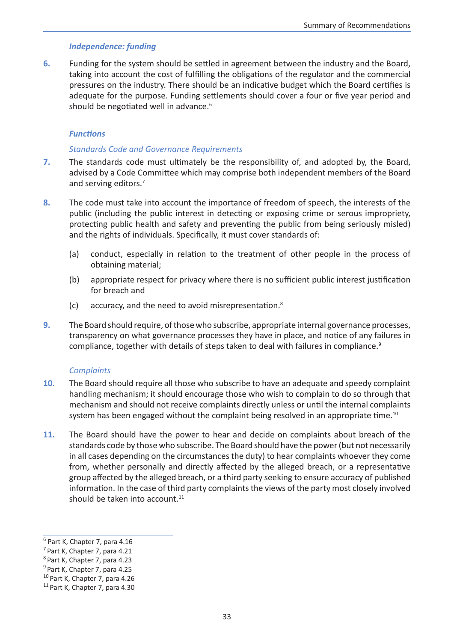### *Independence: funding*

**6.** Funding for the system should be settled in agreement between the industry and the Board, taking into account the cost of fulfilling the obligations of the regulator and the commercial pressures on the industry. There should be an indicative budget which the Board certifies is adequate for the purpose. Funding settlements should cover a four or five year period and should be negotiated well in advance.<sup>6</sup>

### *Functions*

### *Standards Code and Governance Requirements*

- **7.** The standards code must ultimately be the responsibility of, and adopted by, the Board, advised by a Code Committee which may comprise both independent members of the Board and serving editors.<sup>7</sup>
- **8.** The code must take into account the importance of freedom of speech, the interests of the public (including the public interest in detecting or exposing crime or serous impropriety, protecting public health and safety and preventing the public from being seriously misled) and the rights of individuals. Specifically, it must cover standards of:
	- (a) conduct, especially in relation to the treatment of other people in the process of obtaining material;
	- (b) appropriate respect for privacy where there is no sufficient public interest justification for breach and
	- (c) accuracy, and the need to avoid misrepresentation.<sup>8</sup>
- **9.** The Board should require, of those who subscribe, appropriate internal governance processes, transparency on what governance processes they have in place, and notice of any failures in compliance, together with details of steps taken to deal with failures in compliance.<sup>9</sup>

### *Complaints*

- **10.** The Board should require all those who subscribe to have an adequate and speedy complaint handling mechanism; it should encourage those who wish to complain to do so through that mechanism and should not receive complaints directly unless or until the internal complaints system has been engaged without the complaint being resolved in an appropriate time.<sup>10</sup>
- **11.** The Board should have the power to hear and decide on complaints about breach of the standards code by those who subscribe. The Board should have the power (but not necessarily in all cases depending on the circumstances the duty) to hear complaints whoever they come from, whether personally and directly affected by the alleged breach, or a representative group affected by the alleged breach, or a third party seeking to ensure accuracy of published information. In the case of third party complaints the views of the party most closely involved should be taken into account. $11$

<sup>6</sup> Part K, Chapter 7, para 4.16

<sup>7</sup> Part K, Chapter 7, para 4.21

<sup>8</sup> Part K, Chapter 7, para 4.23

<sup>&</sup>lt;sup>9</sup> Part K, Chapter 7, para 4.25

<sup>10</sup> Part K, Chapter 7, para 4.26

<sup>11</sup> Part K, Chapter 7, para 4.30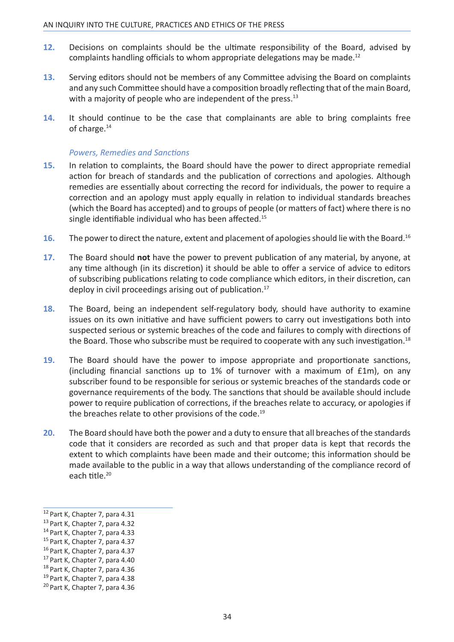- **12.** Decisions on complaints should be the ultimate responsibility of the Board, advised by complaints handling officials to whom appropriate delegations may be made.<sup>12</sup>
- **13.** Serving editors should not be members of any Committee advising the Board on complaints and any such Committee should have a composition broadly reflecting that of the main Board, with a majority of people who are independent of the press.<sup>13</sup>
- **14.** It should continue to be the case that complainants are able to bring complaints free of charge.14

#### *Powers, Remedies and Sanctions*

- **15.** In relation to complaints, the Board should have the power to direct appropriate remedial action for breach of standards and the publication of corrections and apologies. Although remedies are essentially about correcting the record for individuals, the power to require a correction and an apology must apply equally in relation to individual standards breaches (which the Board has accepted) and to groups of people (or matters of fact) where there is no single identifiable individual who has been affected.<sup>15</sup>
- 16. The power to direct the nature, extent and placement of apologies should lie with the Board.<sup>16</sup>
- **17.** The Board should **not** have the power to prevent publication of any material, by anyone, at any time although (in its discretion) it should be able to offer a service of advice to editors of subscribing publications relating to code compliance which editors, in their discretion, can deploy in civil proceedings arising out of publication.<sup>17</sup>
- **18.** The Board, being an independent self-regulatory body, should have authority to examine issues on its own initiative and have sufficient powers to carry out investigations both into suspected serious or systemic breaches of the code and failures to comply with directions of the Board. Those who subscribe must be required to cooperate with any such investigation.<sup>18</sup>
- **19.** The Board should have the power to impose appropriate and proportionate sanctions, (including financial sanctions up to 1% of turnover with a maximum of £1m), on any subscriber found to be responsible for serious or systemic breaches of the standards code or governance requirements of the body. The sanctions that should be available should include power to require publication of corrections, if the breaches relate to accuracy, or apologies if the breaches relate to other provisions of the code.<sup>19</sup>
- **20.** The Board should have both the power and a duty to ensure that all breaches of the standards code that it considers are recorded as such and that proper data is kept that records the extent to which complaints have been made and their outcome; this information should be made available to the public in a way that allows understanding of the compliance record of each title.<sup>20</sup>

- 14 Part K, Chapter 7, para 4.33
- <sup>15</sup> Part K, Chapter 7, para 4.37

- <sup>17</sup> Part K, Chapter 7, para 4.40
- 18 Part K, Chapter 7, para 4.36

<sup>12</sup> Part K, Chapter 7, para 4.31

<sup>13</sup> Part K, Chapter 7, para 4.32

<sup>16</sup> Part K, Chapter 7, para 4.37

<sup>19</sup> Part K, Chapter 7, para 4.38

<sup>20</sup> Part K, Chapter 7, para 4.36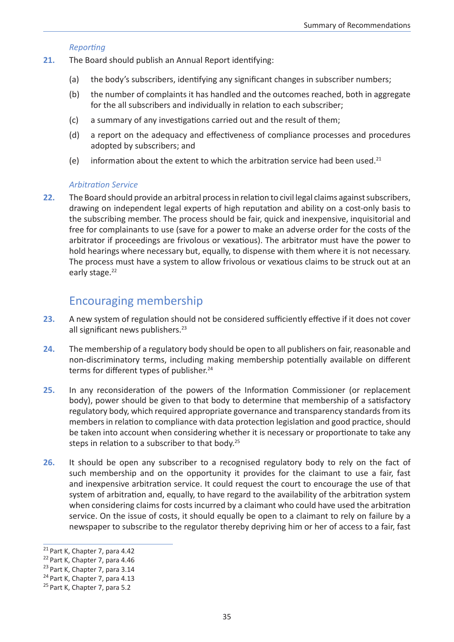### *Reporting*

- **21.** The Board should publish an Annual Report identifying:
	- (a) the body's subscribers, identifying any significant changes in subscriber numbers;
	- (b) the number of complaints it has handled and the outcomes reached, both in aggregate for the all subscribers and individually in relation to each subscriber;
	- (c) a summary of any investigations carried out and the result of them;
	- (d) a report on the adequacy and effectiveness of compliance processes and procedures adopted by subscribers; and
	- (e) information about the extent to which the arbitration service had been used. $21$

### *Arbitration Service*

**22.** The Board should provide an arbitral process in relation to civil legal claims against subscribers, drawing on independent legal experts of high reputation and ability on a cost-only basis to the subscribing member. The process should be fair, quick and inexpensive, inquisitorial and free for complainants to use (save for a power to make an adverse order for the costs of the arbitrator if proceedings are frivolous or vexatious). The arbitrator must have the power to hold hearings where necessary but, equally, to dispense with them where it is not necessary. The process must have a system to allow frivolous or vexatious claims to be struck out at an early stage.<sup>22</sup>

### Encouraging membership

- **23.** A new system of regulation should not be considered sufficiently effective if it does not cover all significant news publishers.<sup>23</sup>
- **24.** The membership of a regulatory body should be open to all publishers on fair, reasonable and non-discriminatory terms, including making membership potentially available on different terms for different types of publisher.<sup>24</sup>
- **25.** In any reconsideration of the powers of the Information Commissioner (or replacement body), power should be given to that body to determine that membership of a satisfactory regulatory body, which required appropriate governance and transparency standards from its members in relation to compliance with data protection legislation and good practice, should be taken into account when considering whether it is necessary or proportionate to take any steps in relation to a subscriber to that body.<sup>25</sup>
- **26.** It should be open any subscriber to a recognised regulatory body to rely on the fact of such membership and on the opportunity it provides for the claimant to use a fair, fast and inexpensive arbitration service. It could request the court to encourage the use of that system of arbitration and, equally, to have regard to the availability of the arbitration system when considering claims for costs incurred by a claimant who could have used the arbitration service. On the issue of costs, it should equally be open to a claimant to rely on failure by a newspaper to subscribe to the regulator thereby depriving him or her of access to a fair, fast

<sup>21</sup> Part K, Chapter 7, para 4.42

<sup>22</sup> Part K, Chapter 7, para 4.46

<sup>&</sup>lt;sup>23</sup> Part K, Chapter 7, para 3.14

<sup>&</sup>lt;sup>24</sup> Part K, Chapter 7, para 4.13

<sup>&</sup>lt;sup>25</sup> Part K, Chapter 7, para 5.2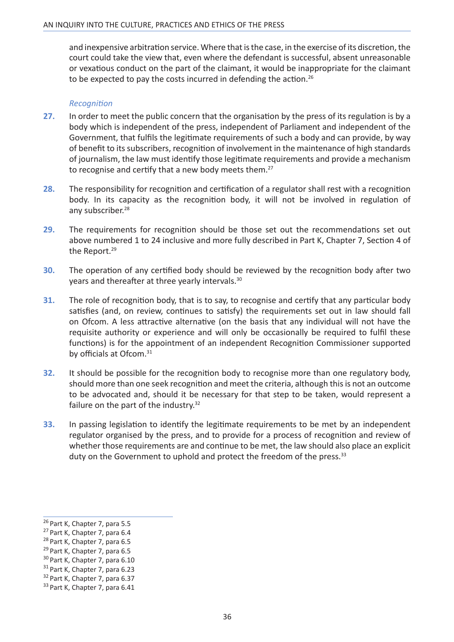and inexpensive arbitration service. Where that is the case, in the exercise of its discretion, the court could take the view that, even where the defendant is successful, absent unreasonable or vexatious conduct on the part of the claimant, it would be inappropriate for the claimant to be expected to pay the costs incurred in defending the action.<sup>26</sup>

### *Recognition*

- **27.** In order to meet the public concern that the organisation by the press of its regulation is by a body which is independent of the press, independent of Parliament and independent of the Government, that fulfils the legitimate requirements of such a body and can provide, by way of benefit to its subscribers, recognition of involvement in the maintenance of high standards of journalism, the law must identify those legitimate requirements and provide a mechanism to recognise and certify that a new body meets them.<sup>27</sup>
- **28.** The responsibility for recognition and certification of a regulator shall rest with a recognition body. In its capacity as the recognition body, it will not be involved in regulation of any subscriber.<sup>28</sup>
- **29.** The requirements for recognition should be those set out the recommendations set out above numbered 1 to 24 inclusive and more fully described in Part K, Chapter 7, Section 4 of the Report.<sup>29</sup>
- **30.** The operation of any certified body should be reviewed by the recognition body after two years and thereafter at three yearly intervals.<sup>30</sup>
- **31.** The role of recognition body, that is to say, to recognise and certify that any particular body satisfies (and, on review, continues to satisfy) the requirements set out in law should fall on Ofcom. A less attractive alternative (on the basis that any individual will not have the requisite authority or experience and will only be occasionally be required to fulfil these functions) is for the appointment of an independent Recognition Commissioner supported by officials at Ofcom.<sup>31</sup>
- **32.** It should be possible for the recognition body to recognise more than one regulatory body, should more than one seek recognition and meet the criteria, although this is not an outcome to be advocated and, should it be necessary for that step to be taken, would represent a failure on the part of the industry.<sup>32</sup>
- **33.** In passing legislation to identify the legitimate requirements to be met by an independent regulator organised by the press, and to provide for a process of recognition and review of whether those requirements are and continue to be met, the law should also place an explicit duty on the Government to uphold and protect the freedom of the press.<sup>33</sup>

<sup>&</sup>lt;sup>26</sup> Part K, Chapter 7, para 5.5

<sup>27</sup> Part K, Chapter 7, para 6.4

<sup>&</sup>lt;sup>28</sup> Part K, Chapter 7, para 6.5

<sup>&</sup>lt;sup>29</sup> Part K, Chapter 7, para 6.5

<sup>&</sup>lt;sup>30</sup> Part K, Chapter 7, para 6.10

<sup>&</sup>lt;sup>31</sup> Part K, Chapter 7, para 6.23

<sup>32</sup> Part K, Chapter 7, para 6.37

<sup>33</sup> Part K, Chapter 7, para 6.41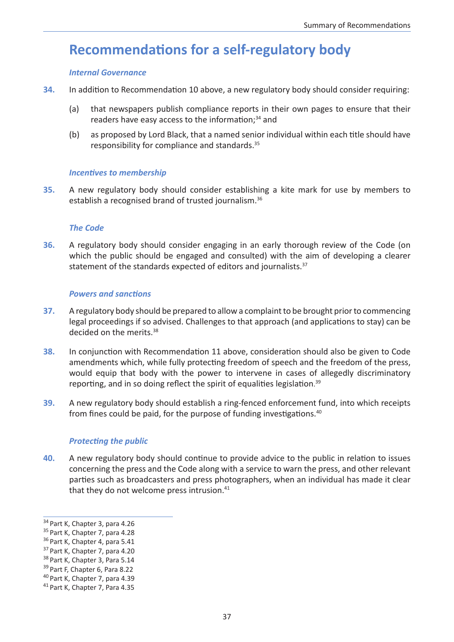## **Recommendations for a self-regulatory body**

### *Internal Governance*

- **34.** In addition to Recommendation 10 above, a new regulatory body should consider requiring:
	- (a) that newspapers publish compliance reports in their own pages to ensure that their readers have easy access to the information;<sup>34</sup> and
	- (b) as proposed by Lord Black, that a named senior individual within each title should have responsibility for compliance and standards.35

#### *Incentives to membership*

**35.** A new regulatory body should consider establishing a kite mark for use by members to establish a recognised brand of trusted journalism.<sup>36</sup>

#### *The Code*

**36.** A regulatory body should consider engaging in an early thorough review of the Code (on which the public should be engaged and consulted) with the aim of developing a clearer statement of the standards expected of editors and journalists.<sup>37</sup>

#### *Powers and sanctions*

- **37.** A regulatory body should be prepared to allow a complaint to be brought prior to commencing legal proceedings if so advised. Challenges to that approach (and applications to stay) can be decided on the merits.<sup>38</sup>
- **38.** In conjunction with Recommendation 11 above, consideration should also be given to Code amendments which, while fully protecting freedom of speech and the freedom of the press, would equip that body with the power to intervene in cases of allegedly discriminatory reporting, and in so doing reflect the spirit of equalities legislation.<sup>39</sup>
- **39.** A new regulatory body should establish a ring-fenced enforcement fund, into which receipts from fines could be paid, for the purpose of funding investigations.<sup>40</sup>

### *Protecting the public*

**40.** A new regulatory body should continue to provide advice to the public in relation to issues concerning the press and the Code along with a service to warn the press, and other relevant parties such as broadcasters and press photographers, when an individual has made it clear that they do not welcome press intrusion. $41$ 

<sup>&</sup>lt;sup>34</sup> Part K, Chapter 3, para 4.26

<sup>&</sup>lt;sup>35</sup> Part K, Chapter 7, para 4.28

<sup>36</sup> Part K, Chapter 4, para 5.41

<sup>&</sup>lt;sup>37</sup> Part K, Chapter 7, para 4.20

<sup>38</sup> Part K, Chapter 3, Para 5.14

<sup>&</sup>lt;sup>39</sup> Part F, Chapter 6, Para 8.22

<sup>40</sup> Part K, Chapter 7, para 4.39

<sup>41</sup> Part K, Chapter 7, Para 4.35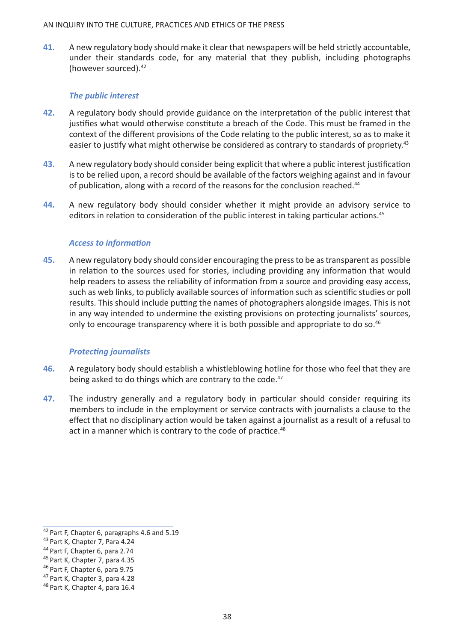**41.** A new regulatory body should make it clear that newspapers will be held strictly accountable, under their standards code, for any material that they publish, including photographs (however sourced).42

### *The public interest*

- **42.** A regulatory body should provide guidance on the interpretation of the public interest that justifies what would otherwise constitute a breach of the Code. This must be framed in the context of the different provisions of the Code relating to the public interest, so as to make it easier to justify what might otherwise be considered as contrary to standards of propriety.<sup>43</sup>
- **43.** A new regulatory body should consider being explicit that where a public interest justification is to be relied upon, a record should be available of the factors weighing against and in favour of publication, along with a record of the reasons for the conclusion reached.<sup>44</sup>
- **44.** A new regulatory body should consider whether it might provide an advisory service to editors in relation to consideration of the public interest in taking particular actions.<sup>45</sup>

### *Access to information*

**45.** A new regulatory body should consider encouraging the press to be as transparent as possible in relation to the sources used for stories, including providing any information that would help readers to assess the reliability of information from a source and providing easy access, such as web links, to publicly available sources of information such as scientific studies or poll results. This should include putting the names of photographers alongside images. This is not in any way intended to undermine the existing provisions on protecting journalists' sources, only to encourage transparency where it is both possible and appropriate to do so.<sup>46</sup>

### *Protecting journalists*

- **46.** A regulatory body should establish a whistleblowing hotline for those who feel that they are being asked to do things which are contrary to the code.<sup>47</sup>
- **47.** The industry generally and a regulatory body in particular should consider requiring its members to include in the employment or service contracts with journalists a clause to the effect that no disciplinary action would be taken against a journalist as a result of a refusal to act in a manner which is contrary to the code of practice.<sup>48</sup>

<sup>42</sup> Part F, Chapter 6, paragraphs 4.6 and 5.19

<sup>43</sup> Part K, Chapter 7, Para 4.24

<sup>44</sup> Part F, Chapter 6, para 2.74

<sup>45</sup> Part K, Chapter 7, para 4.35

 $46$  Part F, Chapter 6, para 9.75<br> $47$  Part K, Chapter 3, para 4.28

<sup>48</sup> Part K, Chapter 4, para 16.4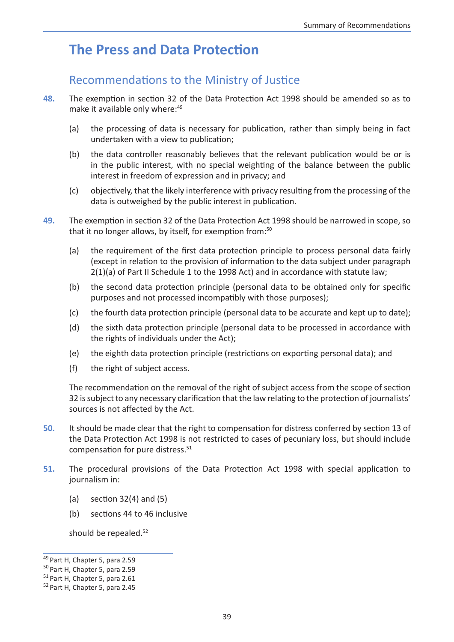## **The Press and Data Protection**

### Recommendations to the Ministry of Justice

- **48.** The exemption in section 32 of the Data Protection Act 1998 should be amended so as to make it available only where:<sup>49</sup>
	- (a) the processing of data is necessary for publication, rather than simply being in fact undertaken with a view to publication;
	- (b) the data controller reasonably believes that the relevant publication would be or is in the public interest, with no special weighting of the balance between the public interest in freedom of expression and in privacy; and
	- (c) objectively, that the likely interference with privacy resulting from the processing of the data is outweighed by the public interest in publication.
- **49.** The exemption in section 32 of the Data Protection Act 1998 should be narrowed in scope, so that it no longer allows, by itself, for exemption from:<sup>50</sup>
	- (a) the requirement of the first data protection principle to process personal data fairly (except in relation to the provision of information to the data subject under paragraph 2(1)(a) of Part II Schedule 1 to the 1998 Act) and in accordance with statute law;
	- (b) the second data protection principle (personal data to be obtained only for specific purposes and not processed incompatibly with those purposes);
	- (c) the fourth data protection principle (personal data to be accurate and kept up to date);
	- (d) the sixth data protection principle (personal data to be processed in accordance with the rights of individuals under the Act);
	- (e) the eighth data protection principle (restrictions on exporting personal data); and
	- (f) the right of subject access.

The recommendation on the removal of the right of subject access from the scope of section 32 is subject to any necessary clarification that the law relating to the protection of journalists' sources is not affected by the Act.

- **50.** It should be made clear that the right to compensation for distress conferred by section 13 of the Data Protection Act 1998 is not restricted to cases of pecuniary loss, but should include compensation for pure distress.<sup>51</sup>
- **51.** The procedural provisions of the Data Protection Act 1998 with special application to journalism in:
	- (a) section 32(4) and (5)
	- (b) sections 44 to 46 inclusive

should be repealed.<sup>52</sup>

<sup>49</sup> Part H, Chapter 5, para 2.59

<sup>50</sup> Part H, Chapter 5, para 2.59

<sup>&</sup>lt;sup>51</sup> Part H, Chapter 5, para 2.61

<sup>52</sup> Part H, Chapter 5, para 2.45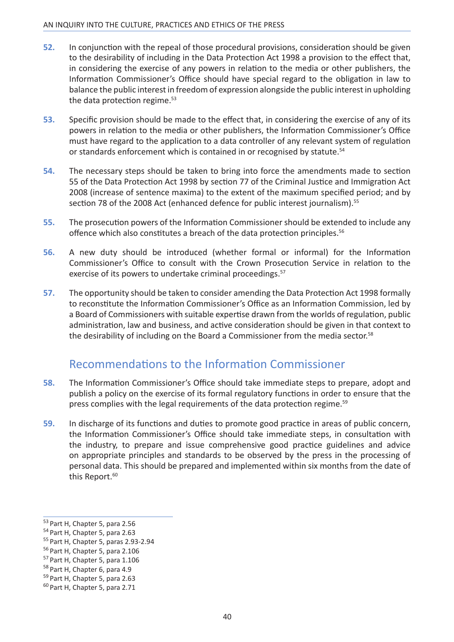- **52.** In conjunction with the repeal of those procedural provisions, consideration should be given to the desirability of including in the Data Protection Act 1998 a provision to the effect that, in considering the exercise of any powers in relation to the media or other publishers, the Information Commissioner's Office should have special regard to the obligation in law to balance the public interest in freedom of expression alongside the public interest in upholding the data protection regime. $53$
- **53.** Specific provision should be made to the effect that, in considering the exercise of any of its powers in relation to the media or other publishers, the Information Commissioner's Office must have regard to the application to a data controller of any relevant system of regulation or standards enforcement which is contained in or recognised by statute.<sup>54</sup>
- **54.** The necessary steps should be taken to bring into force the amendments made to section 55 of the Data Protection Act 1998 by section 77 of the Criminal Justice and Immigration Act 2008 (increase of sentence maxima) to the extent of the maximum specified period; and by section 78 of the 2008 Act (enhanced defence for public interest journalism).<sup>55</sup>
- **55.** The prosecution powers of the Information Commissioner should be extended to include any offence which also constitutes a breach of the data protection principles.<sup>56</sup>
- **56.** A new duty should be introduced (whether formal or informal) for the Information Commissioner's Office to consult with the Crown Prosecution Service in relation to the exercise of its powers to undertake criminal proceedings.<sup>57</sup>
- **57.** The opportunity should be taken to consider amending the Data Protection Act 1998 formally to reconstitute the Information Commissioner's Office as an Information Commission, led by a Board of Commissioners with suitable expertise drawn from the worlds of regulation, public administration, law and business, and active consideration should be given in that context to the desirability of including on the Board a Commissioner from the media sector.<sup>58</sup>

### Recommendations to the Information Commissioner

- **58.** The Information Commissioner's Office should take immediate steps to prepare, adopt and publish a policy on the exercise of its formal regulatory functions in order to ensure that the press complies with the legal requirements of the data protection regime.<sup>59</sup>
- **59.** In discharge of its functions and duties to promote good practice in areas of public concern, the Information Commissioner's Office should take immediate steps, in consultation with the industry, to prepare and issue comprehensive good practice guidelines and advice on appropriate principles and standards to be observed by the press in the processing of personal data. This should be prepared and implemented within six months from the date of this Report.<sup>60</sup>

<sup>53</sup> Part H, Chapter 5, para 2.56

<sup>54</sup> Part H, Chapter 5, para 2.63

<sup>55</sup> Part H, Chapter 5, paras 2.93-2.94

<sup>56</sup> Part H, Chapter 5, para 2.106

<sup>57</sup> Part H, Chapter 5, para 1.106

<sup>&</sup>lt;sup>58</sup> Part H, Chapter 6, para 4.9

<sup>&</sup>lt;sup>59</sup> Part H, Chapter 5, para 2.63

<sup>&</sup>lt;sup>60</sup> Part H, Chapter 5, para 2.71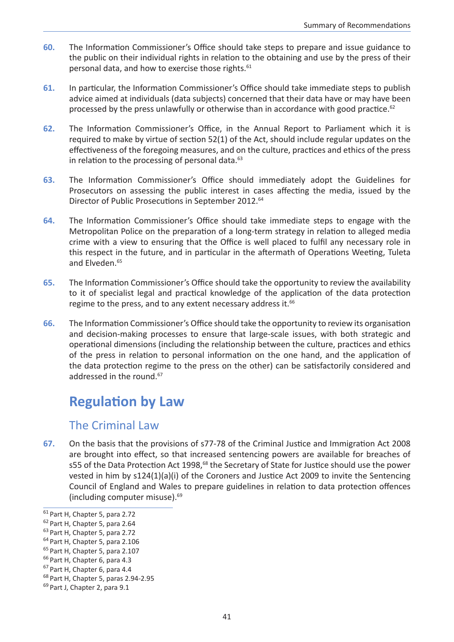- **60.** The Information Commissioner's Office should take steps to prepare and issue guidance to the public on their individual rights in relation to the obtaining and use by the press of their personal data, and how to exercise those rights.<sup>61</sup>
- **61.** In particular, the Information Commissioner's Office should take immediate steps to publish advice aimed at individuals (data subjects) concerned that their data have or may have been processed by the press unlawfully or otherwise than in accordance with good practice.<sup>62</sup>
- **62.** The Information Commissioner's Office, in the Annual Report to Parliament which it is required to make by virtue of section 52(1) of the Act, should include regular updates on the effectiveness of the foregoing measures, and on the culture, practices and ethics of the press in relation to the processing of personal data.<sup>63</sup>
- **63.** The Information Commissioner's Office should immediately adopt the Guidelines for Prosecutors on assessing the public interest in cases affecting the media, issued by the Director of Public Prosecutions in September 2012.<sup>64</sup>
- **64.** The Information Commissioner's Office should take immediate steps to engage with the Metropolitan Police on the preparation of a long-term strategy in relation to alleged media crime with a view to ensuring that the Office is well placed to fulfil any necessary role in this respect in the future, and in particular in the aftermath of Operations Weeting, Tuleta and Elveden.<sup>65</sup>
- **65.** The Information Commissioner's Office should take the opportunity to review the availability to it of specialist legal and practical knowledge of the application of the data protection regime to the press, and to any extent necessary address it.<sup>66</sup>
- **66.** The Information Commissioner's Office should take the opportunity to review its organisation and decision-making processes to ensure that large-scale issues, with both strategic and operational dimensions (including the relationship between the culture, practices and ethics of the press in relation to personal information on the one hand, and the application of the data protection regime to the press on the other) can be satisfactorily considered and addressed in the round.<sup>67</sup>

## **Regulation by Law**

### The Criminal Law

**67.** On the basis that the provisions of s77-78 of the Criminal Justice and Immigration Act 2008 are brought into effect, so that increased sentencing powers are available for breaches of s55 of the Data Protection Act 1998,<sup>68</sup> the Secretary of State for Justice should use the power vested in him by s124(1)(a)(i) of the Coroners and Justice Act 2009 to invite the Sentencing Council of England and Wales to prepare guidelines in relation to data protection offences (including computer misuse).69

63 Part H, Chapter 5, para 2.72

<sup>61</sup> Part H, Chapter 5, para 2.72

<sup>62</sup> Part H, Chapter 5, para 2.64

<sup>&</sup>lt;sup>64</sup> Part H, Chapter 5, para 2.106

<sup>&</sup>lt;sup>65</sup> Part H, Chapter 5, para 2.107

<sup>&</sup>lt;sup>66</sup> Part H, Chapter 6, para 4.3

 $67$  Part H, Chapter 6, para 4.4

<sup>68</sup> Part H, Chapter 5, paras 2.94-2.95

<sup>&</sup>lt;sup>69</sup> Part J, Chapter 2, para 9.1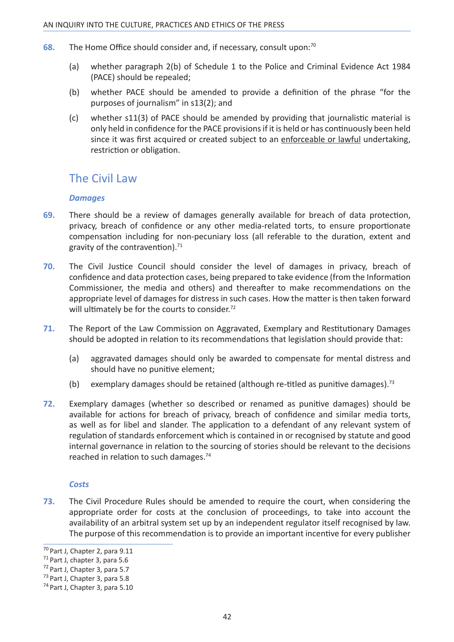- **68.** The Home Office should consider and, if necessary, consult upon:<sup>70</sup>
	- (a) whether paragraph 2(b) of Schedule 1 to the Police and Criminal Evidence Act 1984 (PACE) should be repealed;
	- (b) whether PACE should be amended to provide a definition of the phrase "for the purposes of journalism" in s13(2); and
	- (c) whether s11(3) of PACE should be amended by providing that journalistic material is only held in confidence for the PACE provisions if it is held or has continuously been held since it was first acquired or created subject to an enforceable or lawful undertaking, restriction or obligation.

### The Civil Law

### *Damages*

- **69.** There should be a review of damages generally available for breach of data protection, privacy, breach of confidence or any other media-related torts, to ensure proportionate compensation including for non-pecuniary loss (all referable to the duration, extent and gravity of the contravention). $71$
- **70.** The Civil Justice Council should consider the level of damages in privacy, breach of confidence and data protection cases, being prepared to take evidence (from the Information Commissioner, the media and others) and thereafter to make recommendations on the appropriate level of damages for distress in such cases. How the matter is then taken forward will ultimately be for the courts to consider.<sup>72</sup>
- **71.** The Report of the Law Commission on Aggravated, Exemplary and Restitutionary Damages should be adopted in relation to its recommendations that legislation should provide that:
	- (a) aggravated damages should only be awarded to compensate for mental distress and should have no punitive element;
	- (b) exemplary damages should be retained (although re-titled as punitive damages).<sup>73</sup>
- **72.** Exemplary damages (whether so described or renamed as punitive damages) should be available for actions for breach of privacy, breach of confidence and similar media torts, as well as for libel and slander. The application to a defendant of any relevant system of regulation of standards enforcement which is contained in or recognised by statute and good internal governance in relation to the sourcing of stories should be relevant to the decisions reached in relation to such damages.<sup>74</sup>

### *Costs*

**73.** The Civil Procedure Rules should be amended to require the court, when considering the appropriate order for costs at the conclusion of proceedings, to take into account the availability of an arbitral system set up by an independent regulator itself recognised by law. The purpose of this recommendation is to provide an important incentive for every publisher

<sup>&</sup>lt;sup>70</sup> Part J, Chapter 2, para 9.11

 $71$  Part J, chapter 3, para 5.6

<sup>72</sup> Part J, Chapter 3, para 5.7

<sup>73</sup> Part J, Chapter 3, para 5.8

<sup>74</sup> Part J, Chapter 3, para 5.10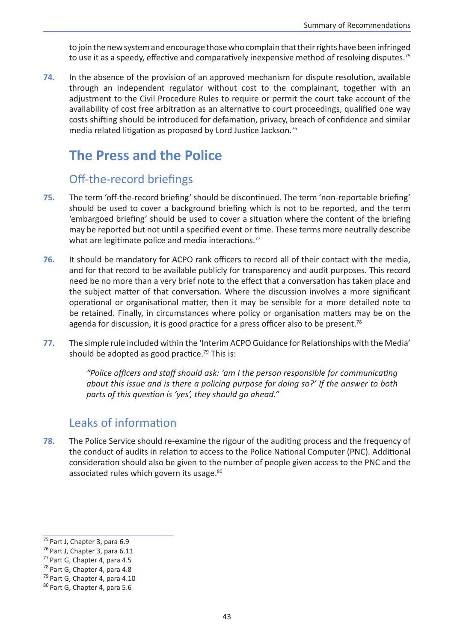to join the new system and encourage those who complain that their rights have been infringed to use it as a speedy, effective and comparatively inexpensive method of resolving disputes.<sup>75</sup>

**74.** In the absence of the provision of an approved mechanism for dispute resolution, available through an independent regulator without cost to the complainant, together with an adjustment to the Civil Procedure Rules to require or permit the court take account of the availability of cost free arbitration as an alternative to court proceedings, qualified one way costs shifting should be introduced for defamation, privacy, breach of confidence and similar media related litigation as proposed by Lord Justice Jackson.<sup>76</sup>

## **the Press and the Police**

### Off-the-record briefings

- **75.** The term 'off-the-record briefing' should be discontinued. The term 'non-reportable briefing' should be used to cover a background briefing which is not to be reported, and the term 'embargoed briefing' should be used to cover a situation where the content of the briefing may be reported but not until a specified event or time. These terms more neutrally describe what are legitimate police and media interactions.<sup>77</sup>
- **76.** It should be mandatory for ACPO rank officers to record all of their contact with the media, and for that record to be available publicly for transparency and audit purposes. This record need be no more than a very brief note to the effect that a conversation has taken place and the subject matter of that conversation. Where the discussion involves a more significant operational or organisational matter, then it may be sensible for a more detailed note to be retained. Finally, in circumstances where policy or organisation matters may be on the agenda for discussion, it is good practice for a press officer also to be present.<sup>78</sup>
- **77.** The simple rule included within the 'Interim ACPO Guidance for Relationships with the Media' should be adopted as good practice.<sup>79</sup> This is:

*"Police officers and staff should ask: 'am I the person responsible for communicating about this issue and is there a policing purpose for doing so?' If the answer to both parts of this question is 'yes', they should go ahead."*

### Leaks of information

**78.** The Police Service should re-examine the rigour of the auditing process and the frequency of the conduct of audits in relation to access to the Police National Computer (PNC). Additional consideration should also be given to the number of people given access to the PNC and the associated rules which govern its usage.<sup>80</sup>

<sup>75</sup> Part J, Chapter 3, para 6.9

<sup>&</sup>lt;sup>76</sup> Part J, Chapter 3, para 6.11

<sup>77</sup> Part G, Chapter 4, para 4.5

<sup>&</sup>lt;sup>78</sup> Part G, Chapter 4, para 4.8

<sup>&</sup>lt;sup>79</sup> Part G, Chapter 4, para 4.10

<sup>80</sup> Part G, Chapter 4, para 5.6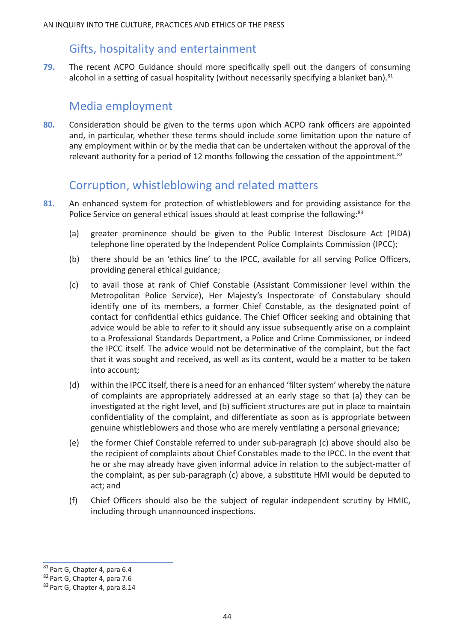### Gifts, hospitality and entertainment

**79.** The recent ACPO Guidance should more specifically spell out the dangers of consuming alcohol in a setting of casual hospitality (without necessarily specifying a blanket ban).<sup>81</sup>

### Media employment

**80.** Consideration should be given to the terms upon which ACPO rank officers are appointed and, in particular, whether these terms should include some limitation upon the nature of any employment within or by the media that can be undertaken without the approval of the relevant authority for a period of 12 months following the cessation of the appointment.<sup>82</sup>

### Corruption, whistleblowing and related matters

- **81.** An enhanced system for protection of whistleblowers and for providing assistance for the Police Service on general ethical issues should at least comprise the following:<sup>83</sup>
	- (a) greater prominence should be given to the Public Interest Disclosure Act (PIDA) telephone line operated by the Independent Police Complaints Commission (IPCC);
	- (b) there should be an 'ethics line' to the IPCC, available for all serving Police Officers, providing general ethical guidance;
	- (c) to avail those at rank of Chief Constable (Assistant Commissioner level within the Metropolitan Police Service), Her Majesty's Inspectorate of Constabulary should identify one of its members, a former Chief Constable, as the designated point of contact for confidential ethics guidance. The Chief Officer seeking and obtaining that advice would be able to refer to it should any issue subsequently arise on a complaint to a Professional Standards Department, a Police and Crime Commissioner, or indeed the IPCC itself. The advice would not be determinative of the complaint, but the fact that it was sought and received, as well as its content, would be a matter to be taken into account;
	- (d) within the IPCC itself, there is a need for an enhanced 'filter system' whereby the nature of complaints are appropriately addressed at an early stage so that (a) they can be investigated at the right level, and (b) sufficient structures are put in place to maintain confidentiality of the complaint, and differentiate as soon as is appropriate between genuine whistleblowers and those who are merely ventilating a personal grievance;
	- (e) the former Chief Constable referred to under sub-paragraph (c) above should also be the recipient of complaints about Chief Constables made to the IPCC. In the event that he or she may already have given informal advice in relation to the subject-matter of the complaint, as per sub-paragraph (c) above, a substitute HMI would be deputed to act; and
	- (f) Chief Officers should also be the subject of regular independent scrutiny by HMIC, including through unannounced inspections.

<sup>81</sup> Part G, Chapter 4, para 6.4

<sup>82</sup> Part G, Chapter 4, para 7.6

<sup>83</sup> Part G, Chapter 4, para 8.14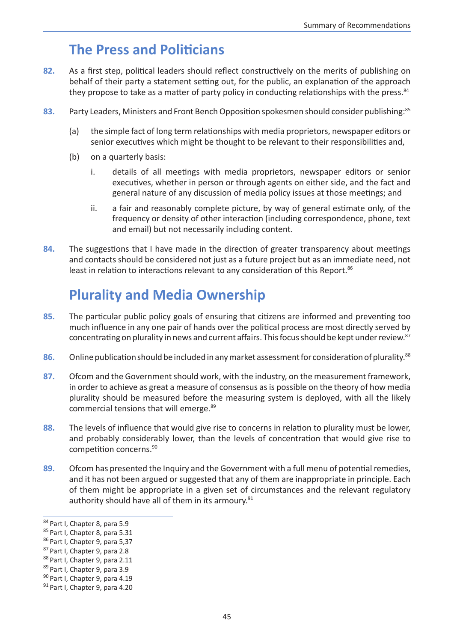## **The Press and Politicians**

- **82.** As a first step, political leaders should reflect constructively on the merits of publishing on behalf of their party a statement setting out, for the public, an explanation of the approach they propose to take as a matter of party policy in conducting relationships with the press.<sup>84</sup>
- 83. Party Leaders, Ministers and Front Bench Opposition spokesmen should consider publishing:<sup>85</sup>
	- (a) the simple fact of long term relationships with media proprietors, newspaper editors or senior executives which might be thought to be relevant to their responsibilities and,
	- (b) on a quarterly basis:
		- i. details of all meetings with media proprietors, newspaper editors or senior executives, whether in person or through agents on either side, and the fact and general nature of any discussion of media policy issues at those meetings; and
		- ii. a fair and reasonably complete picture, by way of general estimate only, of the frequency or density of other interaction (including correspondence, phone, text and email) but not necessarily including content.
- **84.** The suggestions that I have made in the direction of greater transparency about meetings and contacts should be considered not just as a future project but as an immediate need, not least in relation to interactions relevant to any consideration of this Report.<sup>86</sup>

## **Plurality and Media Ownership**

- **85.** The particular public policy goals of ensuring that citizens are informed and preventing too much influence in any one pair of hands over the political process are most directly served by concentrating on plurality in news and current affairs. This focus should be kept under review.<sup>87</sup>
- **86.** Online publication should be included in any market assessment for consideration of plurality.<sup>88</sup>
- **87.** Ofcom and the Government should work, with the industry, on the measurement framework, in order to achieve as great a measure of consensus as is possible on the theory of how media plurality should be measured before the measuring system is deployed, with all the likely commercial tensions that will emerge.<sup>89</sup>
- **88.** The levels of influence that would give rise to concerns in relation to plurality must be lower, and probably considerably lower, than the levels of concentration that would give rise to competition concerns.<sup>90</sup>
- **89.** Ofcom has presented the Inquiry and the Government with a full menu of potential remedies, and it has not been argued or suggested that any of them are inappropriate in principle. Each of them might be appropriate in a given set of circumstances and the relevant regulatory authority should have all of them in its armoury.<sup>91</sup>

<sup>84</sup> Part I, Chapter 8, para 5.9

<sup>85</sup> Part I, Chapter 8, para 5.31

<sup>86</sup> Part I, Chapter 9, para 5,37

<sup>87</sup> Part I, Chapter 9, para 2.8

<sup>88</sup> Part I, Chapter 9, para 2.11

<sup>89</sup> Part I, Chapter 9, para 3.9

<sup>90</sup> Part I, Chapter 9, para 4.19

<sup>91</sup> Part I, Chapter 9, para 4.20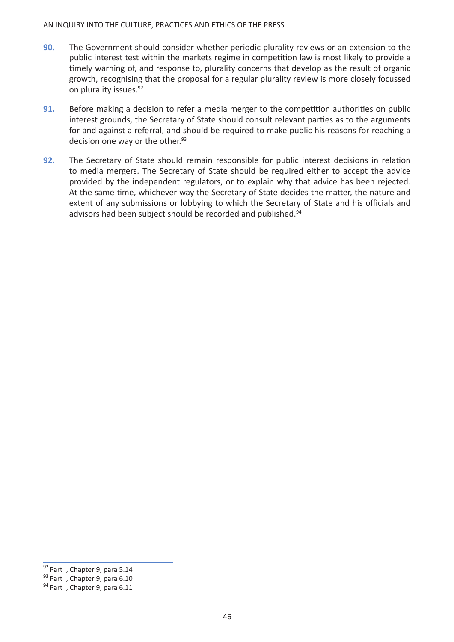- **90.** The Government should consider whether periodic plurality reviews or an extension to the public interest test within the markets regime in competition law is most likely to provide a timely warning of, and response to, plurality concerns that develop as the result of organic growth, recognising that the proposal for a regular plurality review is more closely focussed on plurality issues.92
- **91.** Before making a decision to refer a media merger to the competition authorities on public interest grounds, the Secretary of State should consult relevant parties as to the arguments for and against a referral, and should be required to make public his reasons for reaching a decision one way or the other.<sup>93</sup>
- **92.** The Secretary of State should remain responsible for public interest decisions in relation to media mergers. The Secretary of State should be required either to accept the advice provided by the independent regulators, or to explain why that advice has been rejected. At the same time, whichever way the Secretary of State decides the matter, the nature and extent of any submissions or lobbying to which the Secretary of State and his officials and advisors had been subject should be recorded and published.<sup>94</sup>

<sup>92</sup> Part I, Chapter 9, para 5.14

<sup>93</sup> Part I, Chapter 9, para 6.10

<sup>94</sup> Part I, Chapter 9, para 6.11